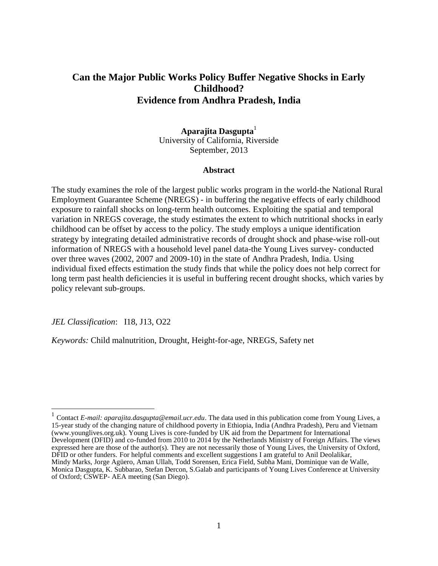# **Can the Major Public Works Policy Buffer Negative Shocks in Early Childhood? Evidence from Andhra Pradesh, India**

### **Aparajita Dasgupta**<sup>1</sup> University of California, Riverside September, 2013

### **Abstract**

The study examines the role of the largest public works program in the world-the National Rural Employment Guarantee Scheme (NREGS) - in buffering the negative effects of early childhood exposure to rainfall shocks on long-term health outcomes. Exploiting the spatial and temporal variation in NREGS coverage, the study estimates the extent to which nutritional shocks in early childhood can be offset by access to the policy. The study employs a unique identification strategy by integrating detailed administrative records of drought shock and phase-wise roll-out information of NREGS with a household level panel data-the Young Lives survey- conducted over three waves (2002, 2007 and 2009-10) in the state of Andhra Pradesh, India. Using individual fixed effects estimation the study finds that while the policy does not help correct for long term past health deficiencies it is useful in buffering recent drought shocks, which varies by policy relevant sub-groups.

*JEL Classification*: I18, J13, O22

 $\overline{\phantom{a}}$ 

*Keywords:* Child malnutrition, Drought, Height-for-age, NREGS, Safety net

<sup>1</sup> Contact *E-mail: aparajita.dasgupta@email.ucr.edu*. The data used in this publication come from Young Lives, a 15-year study of the changing nature of childhood poverty in Ethiopia, India (Andhra Pradesh), Peru and Vietnam (www.younglives.org.uk). Young Lives is core-funded by UK aid from the Department for International Development (DFID) and co-funded from 2010 to 2014 by the Netherlands Ministry of Foreign Affairs. The views expressed here are those of the author(s). They are not necessarily those of Young Lives, the University of Oxford, DFID or other funders. For helpful comments and excellent suggestions I am grateful to Anil Deolalikar, Mindy Marks, Jorge Agüero, Aman Ullah, Todd Sorensen, Erica Field, Subha Mani, Dominique van de Walle, Monica Dasgupta, K. Subbarao, Stefan Dercon, S.Galab and participants of Young Lives Conference at University of Oxford; CSWEP- AEA meeting (San Diego).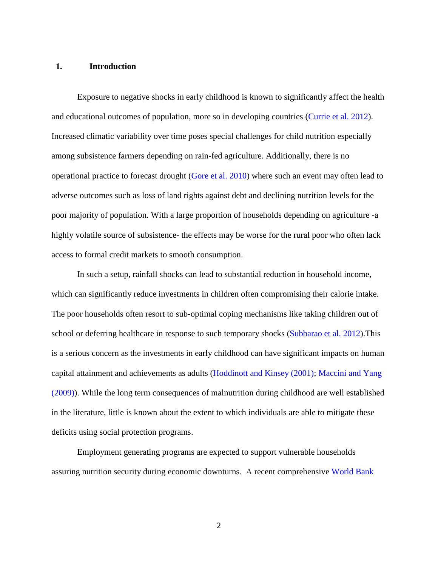### **1. Introduction**

Exposure to negative shocks in early childhood is known to significantly affect the health and educational outcomes of population, more so in developing countries [\(Currie et al. 2012\)](#page-31-0). Increased climatic variability over time poses special challenges for child nutrition especially among subsistence farmers depending on rain-fed agriculture. Additionally, there is no operational practice to forecast drought [\(Gore et al.](#page-32-0) 2010) where such an event may often lead to adverse outcomes such as loss of land rights against debt and declining nutrition levels for the poor majority of population. With a large proportion of households depending on agriculture -a highly volatile source of subsistence- the effects may be worse for the rural poor who often lack access to formal credit markets to smooth consumption.

In such a setup, rainfall shocks can lead to substantial reduction in household income, which can significantly reduce investments in children often compromising their calorie intake. The poor households often resort to sub-optimal coping mechanisms like taking children out of school or deferring healthcare in response to such temporary shocks [\(Subbarao et al. 2012\)](#page-35-0).This is a serious concern as the investments in early childhood can have significant impacts on human capital attainment and achievements as adults [\(Hoddinott and Kinsey \(2001\);](#page-33-0) [Maccini and Yang](#page-33-1)  [\(2009\)\)](#page-33-1). While the long term consequences of malnutrition during childhood are well established in the literature, little is known about the extent to which individuals are able to mitigate these deficits using social protection programs.

Employment generating programs are expected to support vulnerable households assuring nutrition security during economic downturns. A recent comprehensive [World Bank](#page-35-0)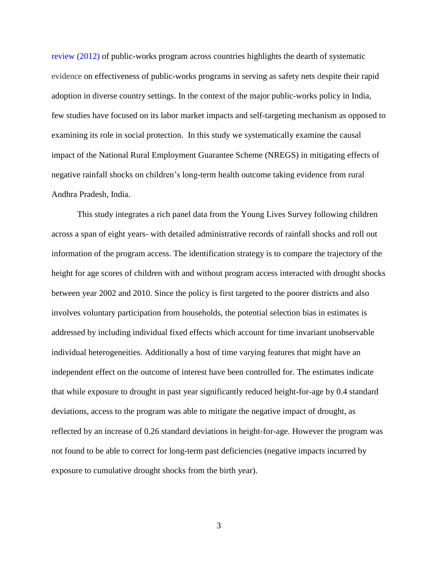[review](#page-35-0) (2012) of public-works program across countries highlights the dearth of systematic evidence on effectiveness of public-works programs in serving as safety nets despite their rapid adoption in diverse country settings. In the context of the major public-works policy in India, few studies have focused on its labor market impacts and self-targeting mechanism as opposed to examining its role in social protection. In this study we systematically examine the causal impact of the National Rural Employment Guarantee Scheme (NREGS) in mitigating effects of negative rainfall shocks on children's long-term health outcome taking evidence from rural Andhra Pradesh, India.

This study integrates a rich panel data from the Young Lives Survey following children across a span of eight years- with detailed administrative records of rainfall shocks and roll out information of the program access. The identification strategy is to compare the trajectory of the height for age scores of children with and without program access interacted with drought shocks between year 2002 and 2010. Since the policy is first targeted to the poorer districts and also involves voluntary participation from households, the potential selection bias in estimates is addressed by including individual fixed effects which account for time invariant unobservable individual heterogeneities. Additionally a host of time varying features that might have an independent effect on the outcome of interest have been controlled for. The estimates indicate that while exposure to drought in past year significantly reduced height-for-age by 0.4 standard deviations, access to the program was able to mitigate the negative impact of drought, as reflected by an increase of 0.26 standard deviations in height-for-age. However the program was not found to be able to correct for long-term past deficiencies (negative impacts incurred by exposure to cumulative drought shocks from the birth year).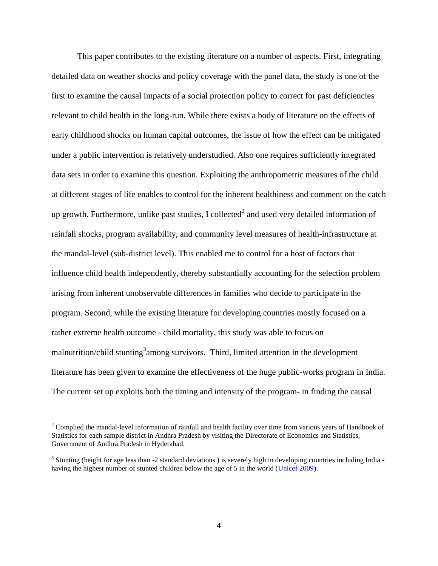This paper contributes to the existing literature on a number of aspects. First, integrating detailed data on weather shocks and policy coverage with the panel data, the study is one of the first to examine the causal impacts of a social protection policy to correct for past deficiencies relevant to child health in the long-run. While there exists a body of literature on the effects of early childhood shocks on human capital outcomes, the issue of how the effect can be mitigated under a public intervention is relatively understudied. Also one requires sufficiently integrated data sets in order to examine this question. Exploiting the anthropometric measures of the child at different stages of life enables to control for the inherent healthiness and comment on the catch up growth. Furthermore, unlike past studies, I collected<sup>2</sup> and used very detailed information of rainfall shocks, program availability, and community level measures of health-infrastructure at the mandal-level (sub-district level). This enabled me to control for a host of factors that influence child health independently, thereby substantially accounting for the selection problem arising from inherent unobservable differences in families who decide to participate in the program. Second, while the existing literature for developing countries mostly focused on a rather extreme health outcome - child mortality, this study was able to focus on malnutrition/child stunting<sup>3</sup> among survivors. Third, limited attention in the development literature has been given to examine the effectiveness of the huge public-works program in India. The current set up exploits both the timing and intensity of the program- in finding the causal

 $2^2$  Complied the mandal-level information of rainfall and health facility over time from various years of Handbook of Statistics for each sample district in Andhra Pradesh by visiting the Directorate of Economics and Statistics, Government of Andhra Pradesh in Hyderabad.

 $3$  Stunting (height for age less than  $-2$  standard deviations) is severely high in developing countries including India  $-$ having the highest number of stunted children below the age of 5 in the world [\(Unicef 2009\)](#page-35-1).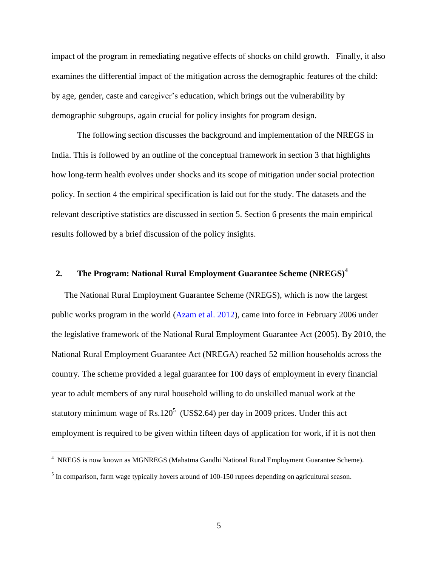impact of the program in remediating negative effects of shocks on child growth. Finally, it also examines the differential impact of the mitigation across the demographic features of the child: by age, gender, caste and caregiver's education, which brings out the vulnerability by demographic subgroups, again crucial for policy insights for program design.

The following section discusses the background and implementation of the NREGS in India. This is followed by an outline of the conceptual framework in section 3 that highlights how long-term health evolves under shocks and its scope of mitigation under social protection policy. In section 4 the empirical specification is laid out for the study. The datasets and the relevant descriptive statistics are discussed in section 5. Section 6 presents the main empirical results followed by a brief discussion of the policy insights.

# **2. The Program: National Rural Employment Guarantee Scheme (NREGS)<sup>4</sup>**

The National Rural Employment Guarantee Scheme (NREGS), which is now the largest public works program in the world [\(Azam et al. 2012\)](#page-30-0), came into force in February 2006 under the legislative framework of the National Rural Employment Guarantee Act (2005). By 2010, the National Rural Employment Guarantee Act (NREGA) reached 52 million households across the country. The scheme provided a legal guarantee for 100 days of employment in every financial year to adult members of any rural household willing to do unskilled manual work at the statutory minimum wage of  $Rs.120^5$  (US\$2.64) per day in 2009 prices. Under this act employment is required to be given within fifteen days of application for work, if it is not then

<sup>&</sup>lt;sup>4</sup> NREGS is now known as MGNREGS (Mahatma Gandhi National Rural Employment Guarantee Scheme).

 $<sup>5</sup>$  In comparison, farm wage typically hovers around of 100-150 rupees depending on agricultural season.</sup>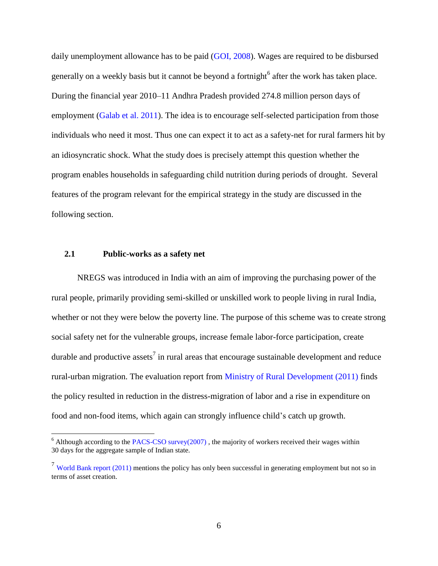daily unemployment allowance has to be paid [\(GOI, 2008\)](#page-32-1). Wages are required to be disbursed generally on a weekly basis but it cannot be beyond a fortnight<sup>6</sup> after the work has taken place. During the financial year 2010–11 Andhra Pradesh provided 274.8 million person days of employment [\(Galab et al. 2011\)](#page-32-2). The idea is to encourage self-selected participation from those individuals who need it most. Thus one can expect it to act as a safety-net for rural farmers hit by an idiosyncratic shock. What the study does is precisely attempt this question whether the program enables households in safeguarding child nutrition during periods of drought. Several features of the program relevant for the empirical strategy in the study are discussed in the following section.

### **2.1 Public-works as a safety net**

 $\overline{a}$ 

NREGS was introduced in India with an aim of improving the purchasing power of the rural people, primarily providing semi-skilled or unskilled work to people living in rural India, whether or not they were below the poverty line. The purpose of this scheme was to create strong social safety net for the vulnerable groups, increase female labor-force participation, create durable and productive assets<sup>7</sup> in rural areas that encourage sustainable development and reduce rural-urban migration. The evaluation report from [Ministry of Rural Development \(2011\)](#page-32-3) finds the policy resulted in reduction in the distress-migration of labor and a rise in expenditure on food and non-food items, which again can strongly influence child's catch up growth.

 $6$  Although according to the [PACS-CSO survey\(2007\)](#page-34-0), the majority of workers received their wages within 30 days for the aggregate sample of Indian state.

<sup>&</sup>lt;sup>7</sup> [World Bank report \(2011\)](#page-35-2) mentions the policy has only been successful in generating employment but not so in terms of asset creation.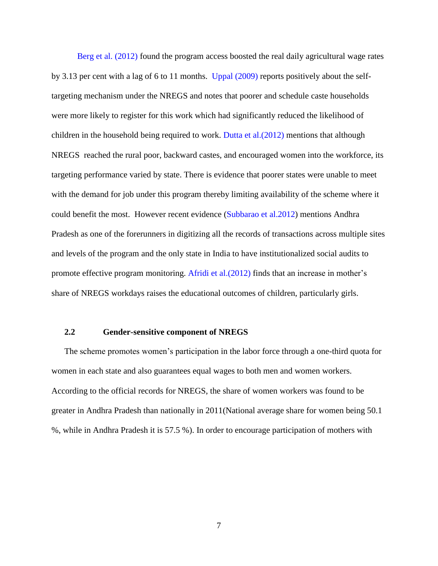[Berg et al. \(2012\)](#page-35-3) found the program access boosted the real daily agricultural wage rates by 3.13 per cent with a lag of 6 to 11 months. [Uppal \(2009\)](#page-35-4) reports positively about the selftargeting mechanism under the NREGS and notes that poorer and schedule caste households were more likely to register for this work which had significantly reduced the likelihood of children in the household being required to work. [Dutta et al.\(2012\)](#page-31-1) mentions that although NREGS reached the rural poor, backward castes, and encouraged women into the workforce, its targeting performance varied by state. There is evidence that poorer states were unable to meet with the demand for job under this program thereby limiting availability of the scheme where it could benefit the most. However recent evidence [\(Subbarao et al.2012\)](#page-35-0) mentions Andhra Pradesh as one of the forerunners in digitizing all the records of transactions across multiple sites and levels of the program and the only state in India to have institutionalized social audits to promote effective program monitoring. [Afridi et al.\(2012\)](#page-30-1) finds that an increase in mother's share of NREGS workdays raises the educational outcomes of children, particularly girls.

### **2.2 Gender-sensitive component of NREGS**

The scheme promotes women's participation in the labor force through a one-third quota for women in each state and also guarantees equal wages to both men and women workers. According to the official records for NREGS, the share of women workers was found to be greater in Andhra Pradesh than nationally in 2011(National average share for women being 50.1 %, while in Andhra Pradesh it is 57.5 %). In order to encourage participation of mothers with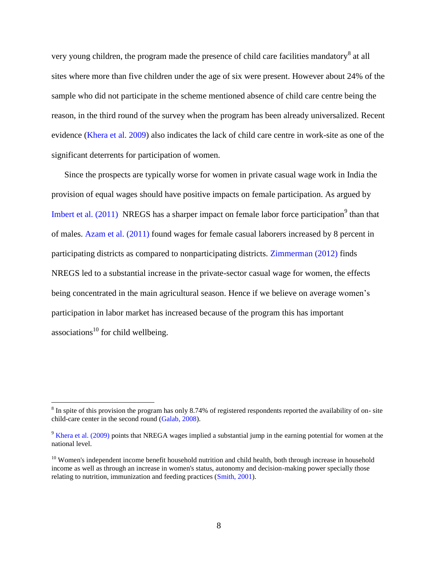very young children, the program made the presence of child care facilities mandatory<sup>8</sup> at all sites where more than five children under the age of six were present. However about 24% of the sample who did not participate in the scheme mentioned absence of child care centre being the reason, in the third round of the survey when the program has been already universalized. Recent evidence [\(Khera et al. 2009\)](#page-33-2) also indicates the lack of child care centre in work-site as one of the significant deterrents for participation of women.

Since the prospects are typically worse for women in private casual wage work in India the provision of equal wages should have positive impacts on female participation. As argued by Imbert et al.  $(2011)$  NREGS has a sharper impact on female labor force participation<sup>9</sup> than that of males. [Azam et al. \(2011\)](#page-30-0) found wages for female casual laborers increased by 8 percent in participating districts as compared to nonparticipating districts. [Zimmerman \(2012\)](#page-35-5) finds NREGS led to a substantial increase in the private-sector casual wage for women, the effects being concentrated in the main agricultural season. Hence if we believe on average women's participation in labor market has increased because of the program this has important associations $^{10}$  for child wellbeing.

 $8 \text{ In spite of this provision the program has only 8.74\% of registered respondents reported the availability of on-site.}$ child-care center in the second round [\(Galab, 2008\)](#page-32-2).

<sup>&</sup>lt;sup>9</sup> [Khera et al. \(2009\)](#page-33-2) points that NREGA wages implied a substantial jump in the earning potential for women at the national level.

<sup>&</sup>lt;sup>10</sup> Women's independent income benefit household nutrition and child health, both through increase in household income as well as through an increase in women's status, autonomy and decision-making power specially those relating to nutrition, immunization and feeding practices (Smith, 2001).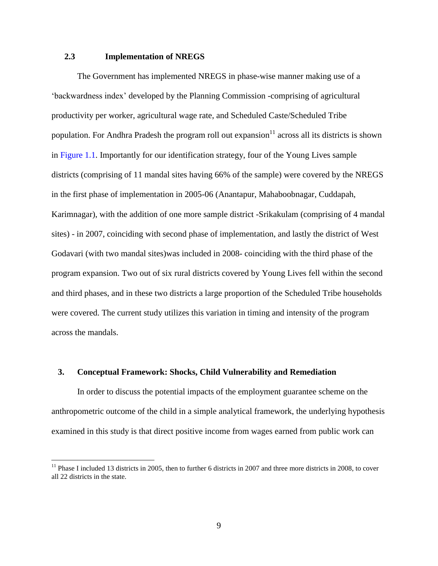### **2.3 Implementation of NREGS**

 $\overline{a}$ 

The Government has implemented NREGS in phase-wise manner making use of a 'backwardness index' developed by the Planning Commission -comprising of agricultural productivity per worker, agricultural wage rate, and Scheduled Caste/Scheduled Tribe population. For Andhra Pradesh the program roll out expansion<sup>11</sup> across all its districts is shown in [Figure 1.1.](#page-51-0) Importantly for our identification strategy, four of the Young Lives sample districts (comprising of 11 mandal sites having 66% of the sample) were covered by the NREGS in the first phase of implementation in 2005-06 (Anantapur, Mahaboobnagar, Cuddapah, Karimnagar), with the addition of one more sample district -Srikakulam (comprising of 4 mandal sites) - in 2007, coinciding with second phase of implementation, and lastly the district of West Godavari (with two mandal sites)was included in 2008- coinciding with the third phase of the program expansion. Two out of six rural districts covered by Young Lives fell within the second and third phases, and in these two districts a large proportion of the Scheduled Tribe households were covered. The current study utilizes this variation in timing and intensity of the program across the mandals.

### **3. Conceptual Framework: Shocks, Child Vulnerability and Remediation**

In order to discuss the potential impacts of the employment guarantee scheme on the anthropometric outcome of the child in a simple analytical framework, the underlying hypothesis examined in this study is that direct positive income from wages earned from public work can

 $11$  Phase I included 13 districts in 2005, then to further 6 districts in 2007 and three more districts in 2008, to cover all 22 districts in the state.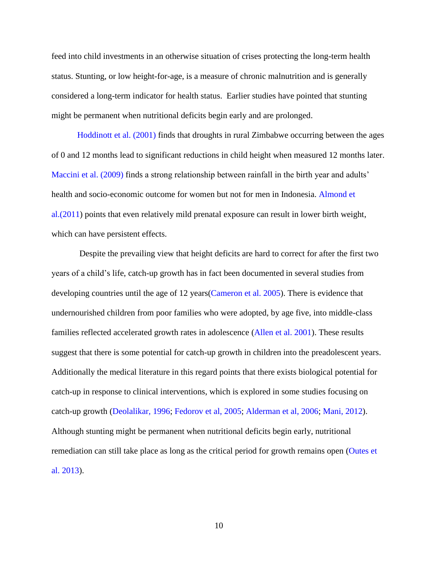feed into child investments in an otherwise situation of crises protecting the long-term health status. Stunting, or low height-for-age, is a measure of chronic malnutrition and is generally considered a long-term indicator for health status. Earlier studies have pointed that stunting might be permanent when nutritional deficits begin early and are prolonged.

[Hoddinott et al.](#page-33-0) (2001) finds that droughts in rural Zimbabwe occurring between the ages of 0 and 12 months lead to significant reductions in child height when measured 12 months later. [Maccini et al.](#page-33-4) (2009) finds a strong relationship between rainfall in the birth year and adults' health and socio-economic outcome for women but not for men in Indonesia. [Almond et](#page-30-2)  [al.\(2011\)](#page-30-2) points that even relatively mild prenatal exposure can result in lower birth weight, which can have persistent effects.

Despite the prevailing view that height deficits are hard to correct for after the first two years of a child's life, catch-up growth has in fact been documented in several studies from developing countries until the age of 12 years [\(Cameron et al. 2005\)](#page-30-3). There is evidence that undernourished children from poor families who were adopted, by age five, into middle-class families reflected accelerated growth rates in adolescence [\(Allen et al. 2001\)](#page-30-0). These results suggest that there is some potential for catch-up growth in children into the preadolescent years. Additionally the medical literature in this regard points that there exists biological potential for catch-up in response to clinical interventions, which is explored in some studies focusing on catch-up growth [\(Deolalikar, 1996;](#page-31-2) [Fedorov et al,](#page-32-2) 2005; [Alderman et al,](#page-30-1) 2006; [Mani, 201](#page-33-4)2). Although stunting might be permanent when nutritional deficits begin early, nutritional remediation can still take place as long as the critical period for growth remains open [\(Outes et](#page-34-1)  [al. 2013\)](#page-34-1).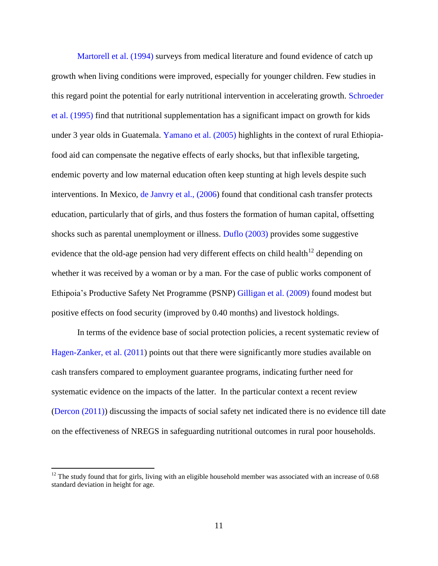[Martorell et al. \(1994\)](#page-34-2) surveys from medical literature and found evidence of catch up growth when living conditions were improved, especially for younger children. Few studies in this regard point the potential for early nutritional intervention in accelerating growth. [Schroeder](#page-34-3)  et al. [\(1995\)](#page-34-3) find that nutritional supplementation has a significant impact on growth for kids under 3 year olds in Guatemala. [Yamano et al. \(2005\)](#page-35-6) highlights in the context of rural Ethiopiafood aid can compensate the negative effects of early shocks, but that inflexible targeting, endemic poverty and low maternal education often keep stunting at high levels despite such interventions. In Mexico, [de Janvry et al., \(2006\)](#page-31-3) found that conditional cash transfer protects education, particularly that of girls, and thus fosters the formation of human capital, offsetting shocks such as parental unemployment or illness. [Duflo \(2003\)](#page-31-4) provides some suggestive evidence that the old-age pension had very different effects on child health<sup>12</sup> depending on whether it was received by a woman or by a man. For the case of public works component of Ethipoia's Productive Safety Net Programme (PSNP) [Gilligan et al. \(2009\)](#page-32-4) found modest but positive effects on food security (improved by 0.40 months) and livestock holdings.

In terms of the evidence base of social protection policies, a recent systematic review of [Hagen-Zanker, et al. \(2011\)](#page-32-5) points out that there were significantly more studies available on cash transfers compared to employment guarantee programs, indicating further need for systematic evidence on the impacts of the latter. In the particular context a recent review [\(Dercon](#page-31-5) (2011)) discussing the impacts of social safety net indicated there is no evidence till date on the effectiveness of NREGS in safeguarding nutritional outcomes in rural poor households.

 $12$  The study found that for girls, living with an eligible household member was associated with an increase of 0.68 standard deviation in height for age.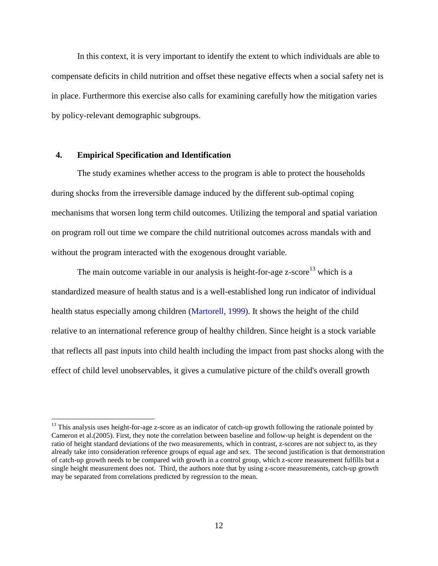In this context, it is very important to identify the extent to which individuals are able to compensate deficits in child nutrition and offset these negative effects when a social safety net is in place. Furthermore this exercise also calls for examining carefully how the mitigation varies by policy-relevant demographic subgroups.

### **4. Empirical Specification and Identification**

 $\overline{a}$ 

The study examines whether access to the program is able to protect the households during shocks from the irreversible damage induced by the different sub-optimal coping mechanisms that worsen long term child outcomes. Utilizing the temporal and spatial variation on program roll out time we compare the child nutritional outcomes across mandals with and without the program interacted with the exogenous drought variable.

The main outcome variable in our analysis is height-for-age  $z$ -score<sup>13</sup> which is a standardized measure of health status and is a well-established long run indicator of individual health status especially among children [\(Martorell, 1999\)](#page-34-2). It shows the height of the child relative to an international reference group of healthy children. Since height is a stock variable that reflects all past inputs into child health including the impact from past shocks along with the effect of child level unobservables, it gives a cumulative picture of the child's overall growth

<sup>&</sup>lt;sup>13</sup> This analysis uses height-for-age z-score as an indicator of catch-up growth following the rationale pointed by Cameron et al.(2005). First, they note the correlation between baseline and follow-up height is dependent on the ratio of height standard deviations of the two measurements, which in contrast, z-scores are not subject to, as they already take into consideration reference groups of equal age and sex. The second justification is that demonstration of catch-up growth needs to be compared with growth in a control group, which z-score measurement fulfills but a single height measurement does not. Third, the authors note that by using z-score measurements, catch-up growth may be separated from correlations predicted by regression to the mean.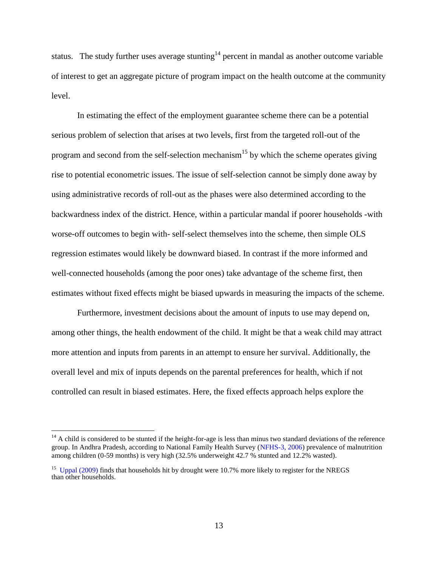status. The study further uses average stunting<sup>14</sup> percent in mandal as another outcome variable of interest to get an aggregate picture of program impact on the health outcome at the community level.

In estimating the effect of the employment guarantee scheme there can be a potential serious problem of selection that arises at two levels, first from the targeted roll-out of the program and second from the self-selection mechanism<sup>15</sup> by which the scheme operates giving rise to potential econometric issues. The issue of self-selection cannot be simply done away by using administrative records of roll-out as the phases were also determined according to the backwardness index of the district. Hence, within a particular mandal if poorer households -with worse-off outcomes to begin with- self-select themselves into the scheme, then simple OLS regression estimates would likely be downward biased. In contrast if the more informed and well-connected households (among the poor ones) take advantage of the scheme first, then estimates without fixed effects might be biased upwards in measuring the impacts of the scheme.

Furthermore, investment decisions about the amount of inputs to use may depend on, among other things, the health endowment of the child. It might be that a weak child may attract more attention and inputs from parents in an attempt to ensure her survival. Additionally, the overall level and mix of inputs depends on the parental preferences for health, which if not controlled can result in biased estimates. Here, the fixed effects approach helps explore the

 $14$  A child is considered to be stunted if the height-for-age is less than minus two standard deviations of the reference group. In Andhra Pradesh, according to National Family Health Survey [\(NFHS-3, 2006\)](#page-34-4) prevalence of malnutrition among children (0-59 months) is very high (32.5% underweight 42.7 % stunted and 12.2% wasted).

<sup>&</sup>lt;sup>15</sup> [Uppal \(2009\)](#page-35-4) finds that households hit by drought were 10.7% more likely to register for the NREGS than other households.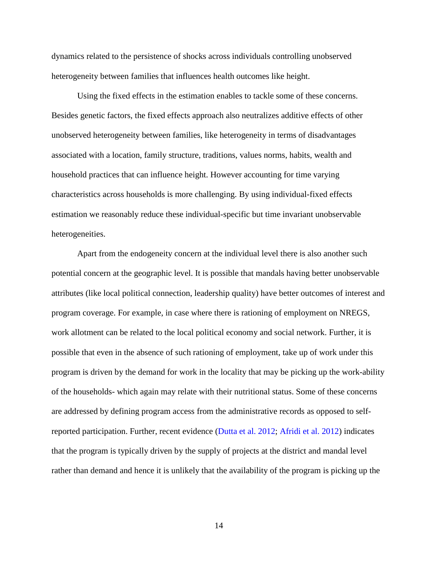dynamics related to the persistence of shocks across individuals controlling unobserved heterogeneity between families that influences health outcomes like height.

Using the fixed effects in the estimation enables to tackle some of these concerns. Besides genetic factors, the fixed effects approach also neutralizes additive effects of other unobserved heterogeneity between families, like heterogeneity in terms of disadvantages associated with a location, family structure, traditions, values norms, habits, wealth and household practices that can influence height. However accounting for time varying characteristics across households is more challenging. By using individual-fixed effects estimation we reasonably reduce these individual-specific but time invariant unobservable heterogeneities.

Apart from the endogeneity concern at the individual level there is also another such potential concern at the geographic level. It is possible that mandals having better unobservable attributes (like local political connection, leadership quality) have better outcomes of interest and program coverage. For example, in case where there is rationing of employment on NREGS, work allotment can be related to the local political economy and social network. Further, it is possible that even in the absence of such rationing of employment, take up of work under this program is driven by the demand for work in the locality that may be picking up the work-ability of the households- which again may relate with their nutritional status. Some of these concerns are addressed by defining program access from the administrative records as opposed to selfreported participation. Further, recent evidence [\(Dutta et al. 2012;](#page-31-1) [Afridi et al. 2012\)](#page-30-1) indicates that the program is typically driven by the supply of projects at the district and mandal level rather than demand and hence it is unlikely that the availability of the program is picking up the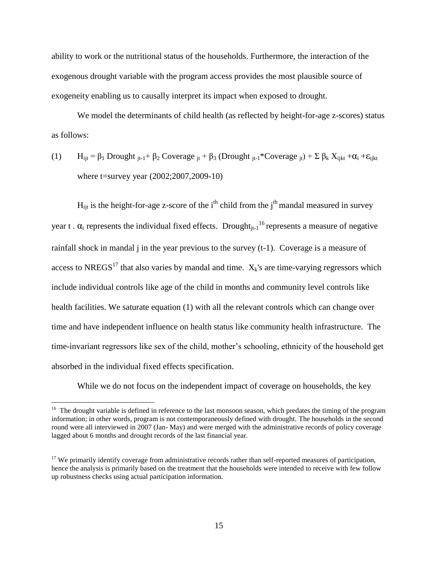ability to work or the nutritional status of the households. Furthermore, the interaction of the exogenous drought variable with the program access provides the most plausible source of exogeneity enabling us to causally interpret its impact when exposed to drought.

We model the determinants of child health (as reflected by height-for-age z-scores) status as follows:

(1) 
$$
H_{ijt} = \beta_1
$$
 Drought  $_{jt-1} + \beta_2$  Coverage  $_{jt} + \beta_3$  (Drought  $_{jt-1}^*$  Coverage  $_{jt}^*$ ) +  $\Sigma \beta_k X_{ijkt} + \alpha_i + \varepsilon_{tjkt}$  where t = survey year (2002;2007,2009-10)

 $H_{ijt}$  is the height-for-age z-score of the i<sup>th</sup> child from the j<sup>th</sup> mandal measured in survey year t .  $\alpha_i$  represents the individual fixed effects. Drought<sub>it-1</sub><sup>16</sup> represents a measure of negative rainfall shock in mandal j in the year previous to the survey (t-1). Coverage is a measure of access to NREGS<sup>17</sup> that also varies by mandal and time.  $X_k$ 's are time-varying regressors which include individual controls like age of the child in months and community level controls like health facilities. We saturate equation (1) with all the relevant controls which can change over time and have independent influence on health status like community health infrastructure. The time-invariant regressors like sex of the child, mother's schooling, ethnicity of the household get absorbed in the individual fixed effects specification.

While we do not focus on the independent impact of coverage on households, the key

<sup>&</sup>lt;sup>16</sup> The drought variable is defined in reference to the last monsoon season, which predates the timing of the program information; in other words, program is not contemporaneously defined with drought. The households in the second round were all interviewed in 2007 (Jan- May) and were merged with the administrative records of policy coverage lagged about 6 months and drought records of the last financial year.

 $17$  We primarily identify coverage from administrative records rather than self-reported measures of participation, hence the analysis is primarily based on the treatment that the households were intended to receive with few follow up robustness checks using actual participation information.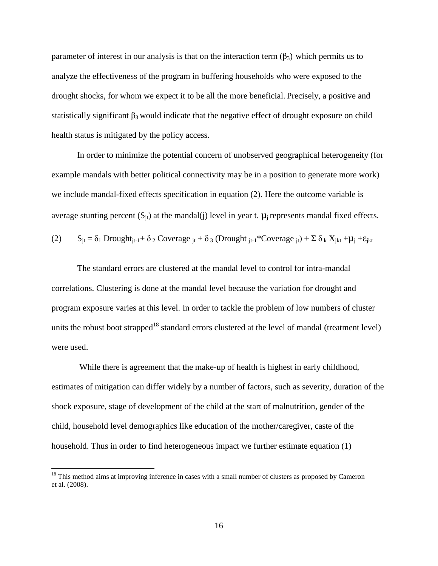parameter of interest in our analysis is that on the interaction term  $(\beta_3)$  which permits us to analyze the effectiveness of the program in buffering households who were exposed to the drought shocks, for whom we expect it to be all the more beneficial. Precisely, a positive and statistically significant  $\beta_3$  would indicate that the negative effect of drought exposure on child health status is mitigated by the policy access.

In order to minimize the potential concern of unobserved geographical heterogeneity (for example mandals with better political connectivity may be in a position to generate more work) we include mandal-fixed effects specification in equation (2). Here the outcome variable is average stunting percent  $(S_{it})$  at the mandal(j) level in year t.  $\mu_i$  represents mandal fixed effects. (2)  $S_{jt} = \delta_1$  Drought<sub>jt-1</sub>+  $\delta_2$  Coverage  $_{jt}$  +  $\delta_3$  (Drought  $_{jt-1}$ \*Coverage  $_{jt}$ ) +  $\Sigma$   $\delta_k$   $X_{jkt}$  +  $\mu_j$  +  $\varepsilon_{jkt}$ 

The standard errors are clustered at the mandal level to control for intra-mandal correlations. Clustering is done at the mandal level because the variation for drought and program exposure varies at this level. In order to tackle the problem of low numbers of cluster units the robust boot strapped<sup>18</sup> standard errors clustered at the level of mandal (treatment level) were used.

While there is agreement that the make-up of health is highest in early childhood, estimates of mitigation can differ widely by a number of factors, such as severity, duration of the shock exposure, stage of development of the child at the start of malnutrition, gender of the child, household level demographics like education of the mother/caregiver, caste of the household. Thus in order to find heterogeneous impact we further estimate equation (1)

 $18$  This method aims at improving inference in cases with a small number of clusters as proposed by Cameron et al. (2008).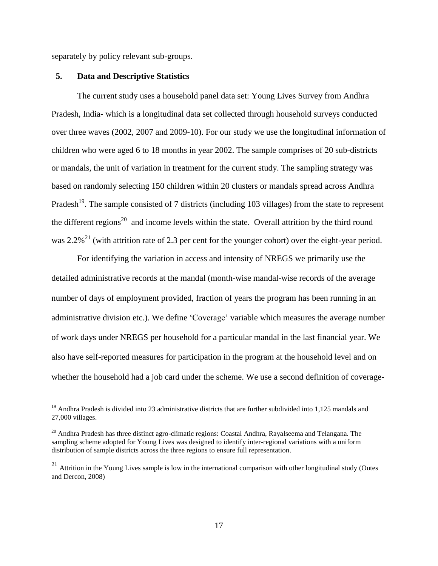separately by policy relevant sub-groups.

#### **5. Data and Descriptive Statistics**

 $\overline{a}$ 

The current study uses a household panel data set: Young Lives Survey from Andhra Pradesh, India- which is a longitudinal data set collected through household surveys conducted over three waves (2002, 2007 and 2009-10). For our study we use the longitudinal information of children who were aged 6 to 18 months in year 2002. The sample comprises of 20 sub-districts or mandals, the unit of variation in treatment for the current study. The sampling strategy was based on randomly selecting 150 children within 20 clusters or mandals spread across Andhra Pradesh<sup>19</sup>. The sample consisted of 7 districts (including 103 villages) from the state to represent the different regions<sup>20</sup> and income levels within the state. Overall attrition by the third round was  $2.2\%$ <sup>21</sup> (with attrition rate of 2.3 per cent for the younger cohort) over the eight-year period.

For identifying the variation in access and intensity of NREGS we primarily use the detailed administrative records at the mandal (month-wise mandal-wise records of the average number of days of employment provided, fraction of years the program has been running in an administrative division etc.). We define 'Coverage' variable which measures the average number of work days under NREGS per household for a particular mandal in the last financial year. We also have self-reported measures for participation in the program at the household level and on whether the household had a job card under the scheme. We use a second definition of coverage-

<sup>&</sup>lt;sup>19</sup> Andhra Pradesh is divided into 23 administrative districts that are further subdivided into 1,125 mandals and 27,000 villages.

<sup>&</sup>lt;sup>20</sup> Andhra Pradesh has three distinct agro-climatic regions: Coastal Andhra, Rayalseema and Telangana. The sampling scheme adopted for Young Lives was designed to identify inter-regional variations with a uniform distribution of sample districts across the three regions to ensure full representation.

 $21$  Attrition in the Young Lives sample is low in the international comparison with other longitudinal study (Outes and Dercon, 2008)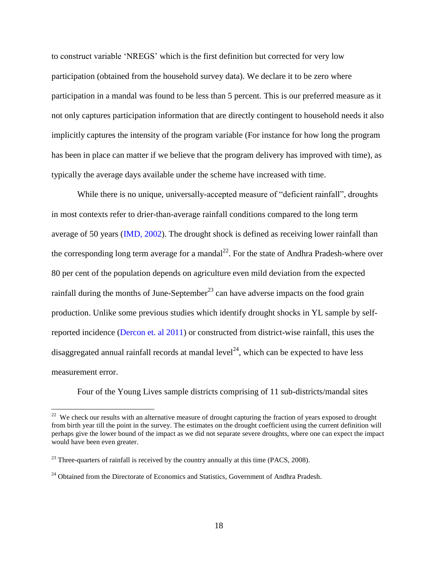to construct variable 'NREGS' which is the first definition but corrected for very low participation (obtained from the household survey data). We declare it to be zero where participation in a mandal was found to be less than 5 percent. This is our preferred measure as it not only captures participation information that are directly contingent to household needs it also implicitly captures the intensity of the program variable (For instance for how long the program has been in place can matter if we believe that the program delivery has improved with time), as typically the average days available under the scheme have increased with time.

While there is no unique, universally-accepted measure of "deficient rainfall", droughts in most contexts refer to drier-than-average rainfall conditions compared to the long term average of 50 years [\(IMD, 2002\)](#page-33-5). The drought shock is defined as receiving lower rainfall than the corresponding long term average for a mandal<sup>22</sup>. For the state of Andhra Pradesh-where over 80 per cent of the population depends on agriculture even mild deviation from the expected rainfall during the months of June-September<sup>23</sup> can have adverse impacts on the food grain production. Unlike some previous studies which identify drought shocks in YL sample by selfreported incidence [\(Dercon et. al 2011\)](#page-31-5) or constructed from district-wise rainfall, this uses the disaggregated annual rainfall records at mandal level<sup>24</sup>, which can be expected to have less measurement error.

Four of the Young Lives sample districts comprising of 11 sub-districts/mandal sites

<sup>&</sup>lt;sup>22</sup> We check our results with an alternative measure of drought capturing the fraction of years exposed to drought from birth year till the point in the survey. The estimates on the drought coefficient using the current definition will perhaps give the lower bound of the impact as we did not separate severe droughts, where one can expect the impact would have been even greater.

 $23$  Three-quarters of rainfall is received by the country annually at this time (PACS, 2008).

<sup>&</sup>lt;sup>24</sup> Obtained from the Directorate of Economics and Statistics, Government of Andhra Pradesh.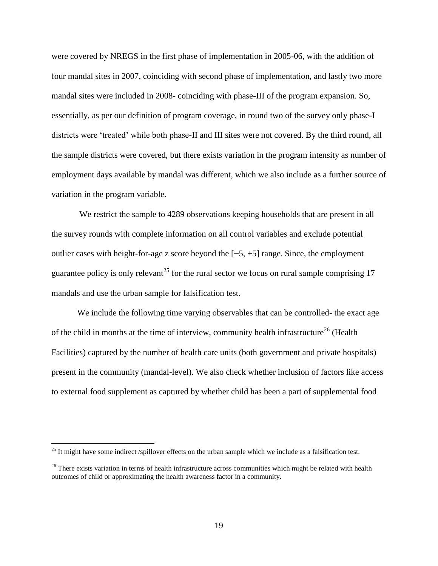were covered by NREGS in the first phase of implementation in 2005-06, with the addition of four mandal sites in 2007, coinciding with second phase of implementation, and lastly two more mandal sites were included in 2008- coinciding with phase-III of the program expansion. So, essentially, as per our definition of program coverage, in round two of the survey only phase-I districts were 'treated' while both phase-II and III sites were not covered. By the third round, all the sample districts were covered, but there exists variation in the program intensity as number of employment days available by mandal was different, which we also include as a further source of variation in the program variable.

We restrict the sample to 4289 observations keeping households that are present in all the survey rounds with complete information on all control variables and exclude potential outlier cases with height-for-age z score beyond the [−5, +5] range. Since, the employment guarantee policy is only relevant<sup>25</sup> for the rural sector we focus on rural sample comprising 17 mandals and use the urban sample for falsification test.

We include the following time varying observables that can be controlled- the exact age of the child in months at the time of interview, community health infrastructure<sup>26</sup> (Health Facilities) captured by the number of health care units (both government and private hospitals) present in the community (mandal-level). We also check whether inclusion of factors like access to external food supplement as captured by whether child has been a part of supplemental food

 $^{25}$  It might have some indirect /spillover effects on the urban sample which we include as a falsification test.

 $26$  There exists variation in terms of health infrastructure across communities which might be related with health outcomes of child or approximating the health awareness factor in a community.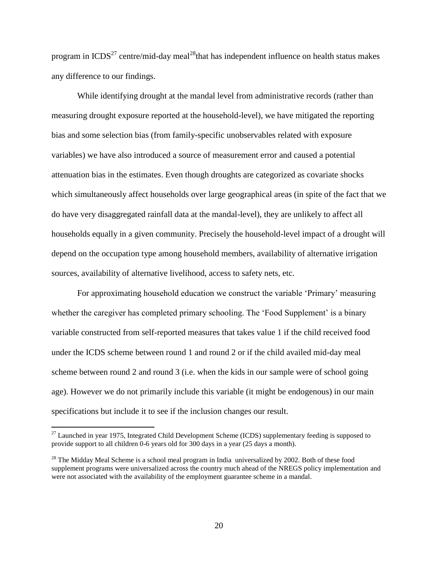program in  $ICDS<sup>27</sup>$  centre/mid-day meal<sup>28</sup>that has independent influence on health status makes any difference to our findings.

While identifying drought at the mandal level from administrative records (rather than measuring drought exposure reported at the household-level), we have mitigated the reporting bias and some selection bias (from family-specific unobservables related with exposure variables) we have also introduced a source of measurement error and caused a potential attenuation bias in the estimates. Even though droughts are categorized as covariate shocks which simultaneously affect households over large geographical areas (in spite of the fact that we do have very disaggregated rainfall data at the mandal-level), they are unlikely to affect all households equally in a given community. Precisely the household-level impact of a drought will depend on the occupation type among household members, availability of alternative irrigation sources, availability of alternative livelihood, access to safety nets, etc.

For approximating household education we construct the variable 'Primary' measuring whether the caregiver has completed primary schooling. The 'Food Supplement' is a binary variable constructed from self-reported measures that takes value 1 if the child received food under the ICDS scheme between round 1 and round 2 or if the child availed mid-day meal scheme between round 2 and round 3 (i.e. when the kids in our sample were of school going age). However we do not primarily include this variable (it might be endogenous) in our main specifications but include it to see if the inclusion changes our result.

 $27$  Launched in year 1975, Integrated Child Development Scheme (ICDS) supplementary feeding is supposed to provide support to all children 0-6 years old for 300 days in a year (25 days a month).

 $^{28}$  The Midday Meal Scheme is a school meal program in India universalized by 2002. Both of these food supplement programs were universalized across the country much ahead of the NREGS policy implementation and were not associated with the availability of the employment guarantee scheme in a mandal.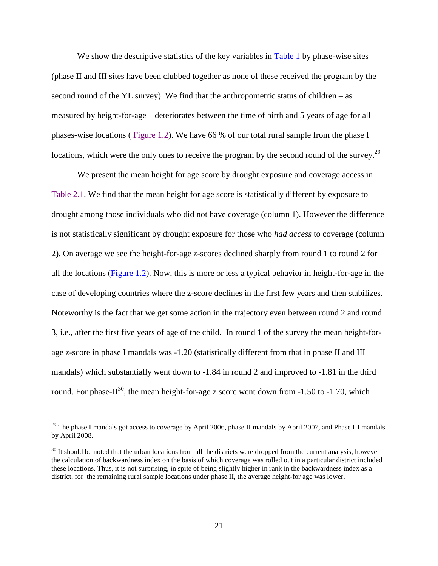We show the descriptive statistics of the key variables in [Table 1](#page-36-0) by phase-wise sites (phase II and III sites have been clubbed together as none of these received the program by the second round of the YL survey). We find that the anthropometric status of children – as measured by height-for-age – deteriorates between the time of birth and 5 years of age for all phases-wise locations ( [Figure 1.2\)](#page-38-0). We have 66 % of our total rural sample from the phase I locations, which were the only ones to receive the program by the second round of the survey.<sup>29</sup>

We present the mean height for age score by drought exposure and coverage access in [Table 2.1.](#page-43-0) We find that the mean height for age score is statistically different by exposure to drought among those individuals who did not have coverage (column 1). However the difference is not statistically significant by drought exposure for those who *had access* to coverage (column 2). On average we see the height-for-age z-scores declined sharply from round 1 to round 2 for all the locations [\(Figure 1.2\)](#page-38-0). Now, this is more or less a typical behavior in height-for-age in the case of developing countries where the z-score declines in the first few years and then stabilizes. Noteworthy is the fact that we get some action in the trajectory even between round 2 and round 3, i.e., after the first five years of age of the child. In round 1 of the survey the mean height-forage z-score in phase I mandals was -1.20 (statistically different from that in phase II and III mandals) which substantially went down to -1.84 in round 2 and improved to -1.81 in the third round. For phase-II<sup>30</sup>, the mean height-for-age z score went down from -1.50 to -1.70, which

<sup>&</sup>lt;sup>29</sup> The phase I mandals got access to coverage by April 2006, phase II mandals by April 2007, and Phase III mandals by April 2008.

 $30$  It should be noted that the urban locations from all the districts were dropped from the current analysis, however the calculation of backwardness index on the basis of which coverage was rolled out in a particular district included these locations. Thus, it is not surprising, in spite of being slightly higher in rank in the backwardness index as a district, for the remaining rural sample locations under phase II, the average height-for age was lower.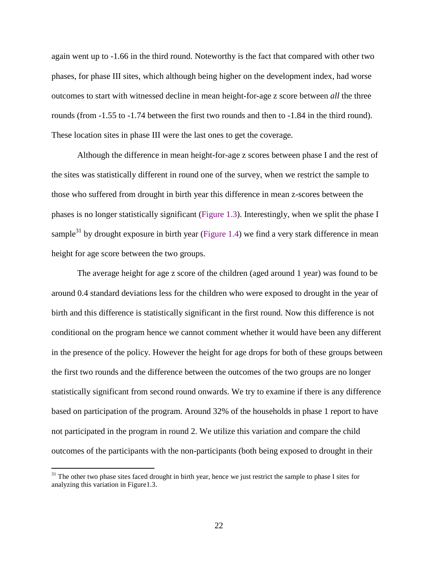again went up to -1.66 in the third round. Noteworthy is the fact that compared with other two phases, for phase III sites, which although being higher on the development index, had worse outcomes to start with witnessed decline in mean height-for-age z score between *all* the three rounds (from -1.55 to -1.74 between the first two rounds and then to -1.84 in the third round). These location sites in phase III were the last ones to get the coverage.

Although the difference in mean height-for-age z scores between phase I and the rest of the sites was statistically different in round one of the survey, when we restrict the sample to those who suffered from drought in birth year this difference in mean z-scores between the phases is no longer statistically significant [\(Figure 1.3\)](#page-38-1). Interestingly, when we split the phase I sample $31$  by drought exposure in birth year [\(Figure 1.4\)](#page-38-2) we find a very stark difference in mean height for age score between the two groups.

The average height for age z score of the children (aged around 1 year) was found to be around 0.4 standard deviations less for the children who were exposed to drought in the year of birth and this difference is statistically significant in the first round. Now this difference is not conditional on the program hence we cannot comment whether it would have been any different in the presence of the policy. However the height for age drops for both of these groups between the first two rounds and the difference between the outcomes of the two groups are no longer statistically significant from second round onwards. We try to examine if there is any difference based on participation of the program. Around 32% of the households in phase 1 report to have not participated in the program in round 2. We utilize this variation and compare the child outcomes of the participants with the non-participants (both being exposed to drought in their

 $31$  The other two phase sites faced drought in birth year, hence we just restrict the sample to phase I sites for analyzing this variation in Figure1.3.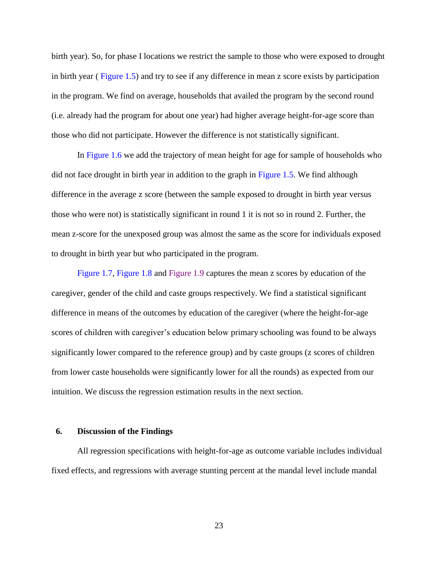birth year). So, for phase I locations we restrict the sample to those who were exposed to drought in birth year ( [Figure 1.5\)](#page-39-0) and try to see if any difference in mean z score exists by participation in the program. We find on average, households that availed the program by the second round (i.e. already had the program for about one year) had higher average height-for-age score than those who did not participate. However the difference is not statistically significant.

In [Figure 1.6](#page-39-1) we add the trajectory of mean height for age for sample of households who did not face drought in birth year in addition to the graph in [Figure 1.5.](#page-39-0) We find although difference in the average z score (between the sample exposed to drought in birth year versus those who were not) is statistically significant in round 1 it is not so in round 2. Further, the mean z-score for the unexposed group was almost the same as the score for individuals exposed to drought in birth year but who participated in the program.

[Figure 1.7,](#page-40-0) [Figure 1.8](#page-41-0) and [Figure 1.9](#page-41-1) captures the mean z scores by education of the caregiver, gender of the child and caste groups respectively. We find a statistical significant difference in means of the outcomes by education of the caregiver (where the height-for-age scores of children with caregiver's education below primary schooling was found to be always significantly lower compared to the reference group) and by caste groups (z scores of children from lower caste households were significantly lower for all the rounds) as expected from our intuition. We discuss the regression estimation results in the next section.

### **6. Discussion of the Findings**

All regression specifications with height-for-age as outcome variable includes individual fixed effects, and regressions with average stunting percent at the mandal level include mandal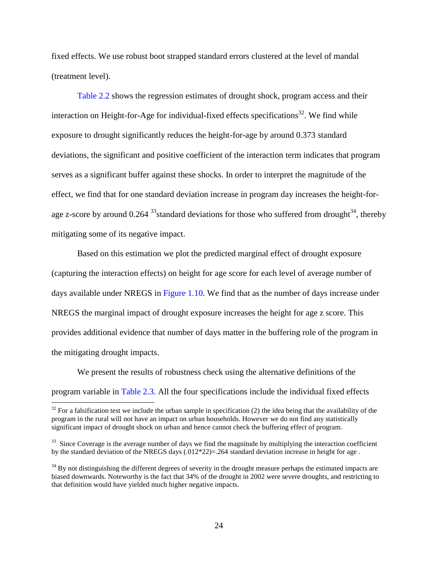fixed effects. We use robust boot strapped standard errors clustered at the level of mandal (treatment level).

[Table 2.2](#page-44-0) shows the regression estimates of drought shock, program access and their interaction on Height-for-Age for individual-fixed effects specifications<sup>32</sup>. We find while exposure to drought significantly reduces the height-for-age by around 0.373 standard deviations, the significant and positive coefficient of the interaction term indicates that program serves as a significant buffer against these shocks. In order to interpret the magnitude of the effect, we find that for one standard deviation increase in program day increases the height-forage z-score by around 0.264  $33$  standard deviations for those who suffered from drought  $34$ , thereby mitigating some of its negative impact.

Based on this estimation we plot the predicted marginal effect of drought exposure (capturing the interaction effects) on height for age score for each level of average number of days available under NREGS in [Figure 1.10.](#page-42-0) We find that as the number of days increase under NREGS the marginal impact of drought exposure increases the height for age z score. This provides additional evidence that number of days matter in the buffering role of the program in the mitigating drought impacts.

We present the results of robustness check using the alternative definitions of the program variable in [Table 2.3.](#page-45-0) All the four specifications include the individual fixed effects

 $32$  For a falsification test we include the urban sample in specification (2) the idea being that the availability of the program in the rural will not have an impact on urban households. However we do not find any statistically significant impact of drought shock on urban and hence cannot check the buffering effect of program.

 $33$  Since Coverage is the average number of days we find the magnitude by multiplying the interaction coefficient by the standard deviation of the NREGS days (.012\*22)=.264 standard deviation increase in height for age .

 $34$  By not distinguishing the different degrees of severity in the drought measure perhaps the estimated impacts are biased downwards. Noteworthy is the fact that 34% of the drought in 2002 were severe droughts, and restricting to that definition would have yielded much higher negative impacts.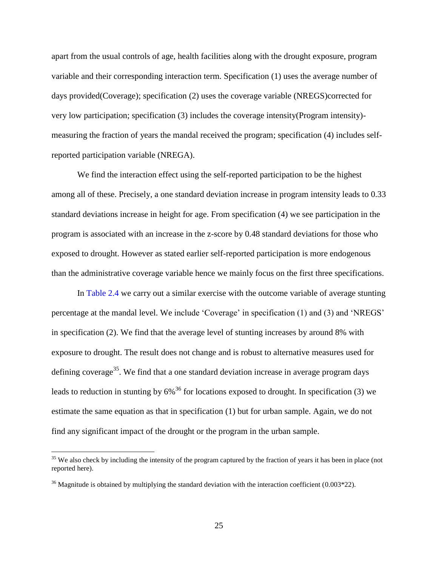apart from the usual controls of age, health facilities along with the drought exposure, program variable and their corresponding interaction term. Specification (1) uses the average number of days provided(Coverage); specification (2) uses the coverage variable (NREGS)corrected for very low participation; specification (3) includes the coverage intensity(Program intensity) measuring the fraction of years the mandal received the program; specification (4) includes selfreported participation variable (NREGA).

We find the interaction effect using the self-reported participation to be the highest among all of these. Precisely, a one standard deviation increase in program intensity leads to 0.33 standard deviations increase in height for age. From specification (4) we see participation in the program is associated with an increase in the z-score by 0.48 standard deviations for those who exposed to drought. However as stated earlier self-reported participation is more endogenous than the administrative coverage variable hence we mainly focus on the first three specifications.

In [Table 2.4](#page-46-0) we carry out a similar exercise with the outcome variable of average stunting percentage at the mandal level. We include 'Coverage' in specification (1) and (3) and 'NREGS' in specification (2). We find that the average level of stunting increases by around 8% with exposure to drought. The result does not change and is robust to alternative measures used for defining coverage<sup>35</sup>. We find that a one standard deviation increase in average program days leads to reduction in stunting by  $6\%^{36}$  for locations exposed to drought. In specification (3) we estimate the same equation as that in specification (1) but for urban sample. Again, we do not find any significant impact of the drought or the program in the urban sample.

 $35$  We also check by including the intensity of the program captured by the fraction of years it has been in place (not reported here).

 $36$  Magnitude is obtained by multiplying the standard deviation with the interaction coefficient (0.003\*22).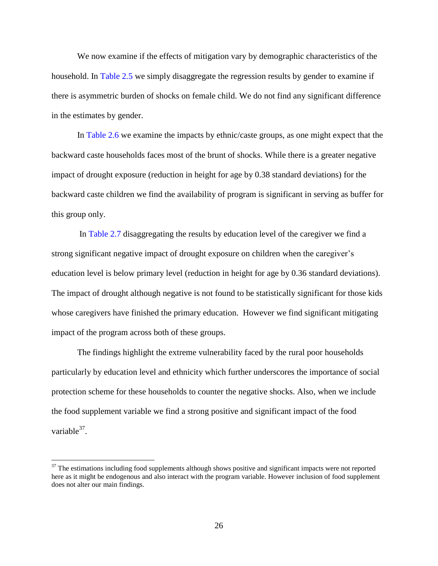We now examine if the effects of mitigation vary by demographic characteristics of the household. In [Table 2.5](#page-47-0) we simply disaggregate the regression results by gender to examine if there is asymmetric burden of shocks on female child. We do not find any significant difference in the estimates by gender.

In [Table 2.6](#page-48-0) we examine the impacts by ethnic/caste groups, as one might expect that the backward caste households faces most of the brunt of shocks. While there is a greater negative impact of drought exposure (reduction in height for age by 0.38 standard deviations) for the backward caste children we find the availability of program is significant in serving as buffer for this group only.

In [Table 2.7](#page-49-0) disaggregating the results by education level of the caregiver we find a strong significant negative impact of drought exposure on children when the caregiver's education level is below primary level (reduction in height for age by 0.36 standard deviations). The impact of drought although negative is not found to be statistically significant for those kids whose caregivers have finished the primary education. However we find significant mitigating impact of the program across both of these groups.

The findings highlight the extreme vulnerability faced by the rural poor households particularly by education level and ethnicity which further underscores the importance of social protection scheme for these households to counter the negative shocks. Also, when we include the food supplement variable we find a strong positive and significant impact of the food variable $37$ .

 $37$  The estimations including food supplements although shows positive and significant impacts were not reported here as it might be endogenous and also interact with the program variable. However inclusion of food supplement does not alter our main findings.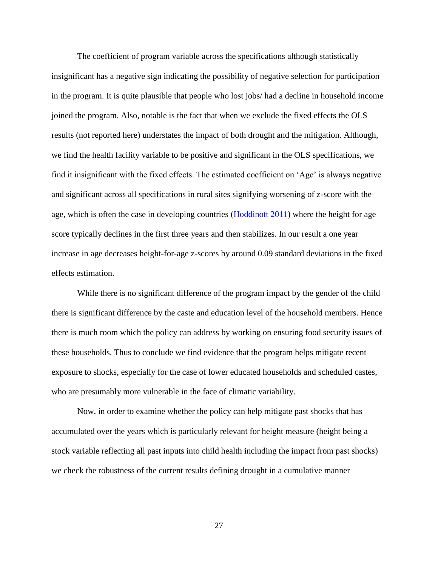The coefficient of program variable across the specifications although statistically insignificant has a negative sign indicating the possibility of negative selection for participation in the program. It is quite plausible that people who lost jobs/ had a decline in household income joined the program. Also, notable is the fact that when we exclude the fixed effects the OLS results (not reported here) understates the impact of both drought and the mitigation. Although, we find the health facility variable to be positive and significant in the OLS specifications, we find it insignificant with the fixed effects. The estimated coefficient on 'Age' is always negative and significant across all specifications in rural sites signifying worsening of z-score with the age, which is often the case in developing countries [\(Hoddinott 2011\)](#page-33-0) where the height for age score typically declines in the first three years and then stabilizes. In our result a one year increase in age decreases height-for-age z-scores by around 0.09 standard deviations in the fixed effects estimation.

While there is no significant difference of the program impact by the gender of the child there is significant difference by the caste and education level of the household members. Hence there is much room which the policy can address by working on ensuring food security issues of these households. Thus to conclude we find evidence that the program helps mitigate recent exposure to shocks, especially for the case of lower educated households and scheduled castes, who are presumably more vulnerable in the face of climatic variability.

Now, in order to examine whether the policy can help mitigate past shocks that has accumulated over the years which is particularly relevant for height measure (height being a stock variable reflecting all past inputs into child health including the impact from past shocks) we check the robustness of the current results defining drought in a cumulative manner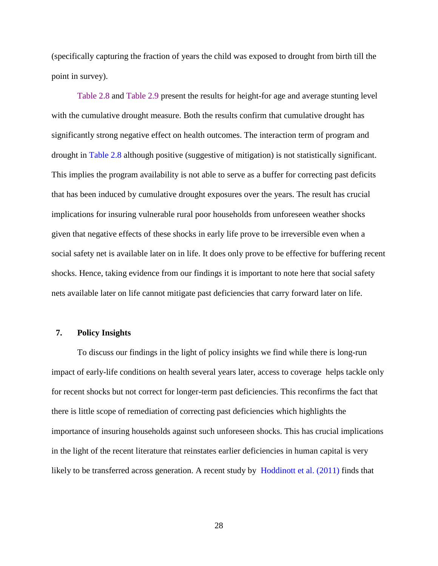(specifically capturing the fraction of years the child was exposed to drought from birth till the point in survey).

[Table 2.8](#page-50-0) and [Table 2.9](#page-51-1) present the results for height-for age and average stunting level with the cumulative drought measure. Both the results confirm that cumulative drought has significantly strong negative effect on health outcomes. The interaction term of program and drought in [Table 2.8](#page-50-0) although positive (suggestive of mitigation) is not statistically significant. This implies the program availability is not able to serve as a buffer for correcting past deficits that has been induced by cumulative drought exposures over the years. The result has crucial implications for insuring vulnerable rural poor households from unforeseen weather shocks given that negative effects of these shocks in early life prove to be irreversible even when a social safety net is available later on in life. It does only prove to be effective for buffering recent shocks. Hence, taking evidence from our findings it is important to note here that social safety nets available later on life cannot mitigate past deficiencies that carry forward later on life.

### **7. Policy Insights**

To discuss our findings in the light of policy insights we find while there is long-run impact of early-life conditions on health several years later, access to coverage helps tackle only for recent shocks but not correct for longer-term past deficiencies. This reconfirms the fact that there is little scope of remediation of correcting past deficiencies which highlights the importance of insuring households against such unforeseen shocks. This has crucial implications in the light of the recent literature that reinstates earlier deficiencies in human capital is very likely to be transferred across generation. A recent study by [Hoddinott et al. \(2011\)](#page-33-0) finds that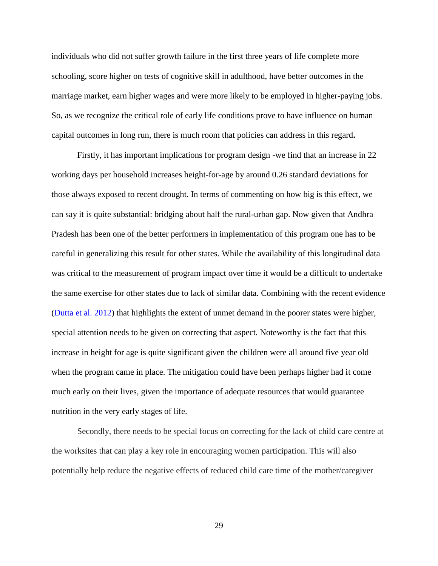individuals who did not suffer growth failure in the first three years of life complete more schooling, score higher on tests of cognitive skill in adulthood, have better outcomes in the marriage market, earn higher wages and were more likely to be employed in higher-paying jobs. So, as we recognize the critical role of early life conditions prove to have influence on human capital outcomes in long run, there is much room that policies can address in this regard**.**

Firstly, it has important implications for program design -we find that an increase in 22 working days per household increases height-for-age by around 0.26 standard deviations for those always exposed to recent drought. In terms of commenting on how big is this effect, we can say it is quite substantial: bridging about half the rural-urban gap. Now given that Andhra Pradesh has been one of the better performers in implementation of this program one has to be careful in generalizing this result for other states. While the availability of this longitudinal data was critical to the measurement of program impact over time it would be a difficult to undertake the same exercise for other states due to lack of similar data. Combining with the recent evidence [\(Dutta et al. 2012\)](#page-31-1) that highlights the extent of unmet demand in the poorer states were higher, special attention needs to be given on correcting that aspect. Noteworthy is the fact that this increase in height for age is quite significant given the children were all around five year old when the program came in place. The mitigation could have been perhaps higher had it come much early on their lives, given the importance of adequate resources that would guarantee nutrition in the very early stages of life.

Secondly, there needs to be special focus on correcting for the lack of child care centre at the worksites that can play a key role in encouraging women participation. This will also potentially help reduce the negative effects of reduced child care time of the mother/caregiver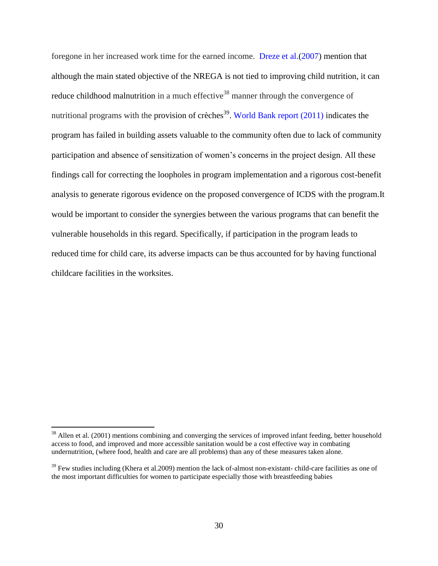foregone in her increased work time for the earned income. [Dreze et al.\(2007\)](#page-31-6) mention that although the main stated objective of the NREGA is not tied to improving child nutrition, it can reduce childhood malnutrition in a much effective<sup>38</sup> manner through the convergence of nutritional programs with the provision of crèches<sup>39</sup>. World Bank report  $(2011)$  indicates the program has failed in building assets valuable to the community often due to lack of community participation and absence of sensitization of women's concerns in the project design. All these findings call for correcting the loopholes in program implementation and a rigorous cost-benefit analysis to generate rigorous evidence on the proposed convergence of ICDS with the program.It would be important to consider the synergies between the various programs that can benefit the vulnerable households in this regard. Specifically, if participation in the program leads to reduced time for child care, its adverse impacts can be thus accounted for by having functional childcare facilities in the worksites.

<sup>&</sup>lt;sup>38</sup> Allen et al. (2001) mentions combining and converging the services of improved infant feeding, better household access to food, and improved and more accessible sanitation would be a cost effective way in combating undernutrition, (where food, health and care are all problems) than any of these measures taken alone.

 $39$  Few studies including (Khera et al. 2009) mention the lack of-almost non-existant- child-care facilities as one of the most important difficulties for women to participate especially those with breastfeeding babies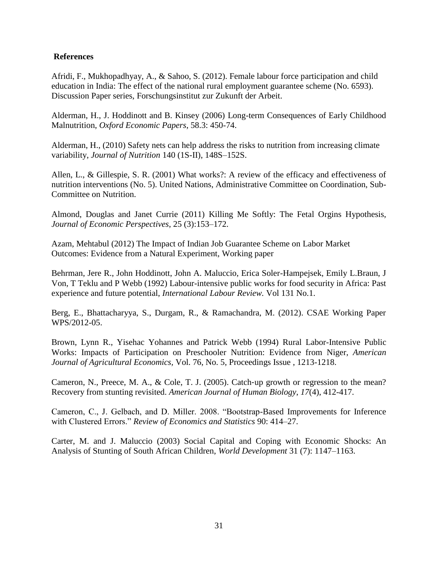### **References**

Afridi, F., Mukhopadhyay, A., & Sahoo, S. (2012). Female labour force participation and child education in India: The effect of the national rural employment guarantee scheme (No. 6593). Discussion Paper series, Forschungsinstitut zur Zukunft der Arbeit.

Alderman, H., J. Hoddinott and B. Kinsey (2006) Long-term Consequences of Early Childhood Malnutrition, *Oxford Economic Papers*, 58.3: 450-74.

<span id="page-30-1"></span>Alderman, H., (2010) Safety nets can help address the risks to nutrition from increasing climate variability, *Journal of Nutrition* 140 (1S-II), 148S–152S.

Allen, L., & Gillespie, S. R. (2001) What works?: A review of the efficacy and effectiveness of nutrition interventions (No. 5). United Nations, Administrative Committee on Coordination, Sub-Committee on Nutrition.

<span id="page-30-2"></span>Almond, Douglas and Janet Currie (2011) Killing Me Softly: The Fetal Orgins Hypothesis, *Journal of Economic Perspectives*, 25 (3):153–172.

<span id="page-30-0"></span>Azam, Mehtabul (2012) The Impact of Indian Job Guarantee Scheme on Labor Market Outcomes: Evidence from a Natural Experiment, Working paper

Behrman, Jere R., John Hoddinott, John A. Maluccio, Erica Soler-Hampejsek, Emily L.Braun, J Von, T Teklu and P Webb (1992) Labour-intensive public works for food security in Africa: Past experience and future potential, *International Labour Review.* Vol 131 No.1.

Berg, E., Bhattacharyya, S., Durgam, R., & Ramachandra, M. (2012). CSAE Working Paper WPS/2012-05.

Brown, Lynn R., Yisehac Yohannes and Patrick Webb (1994) Rural Labor-Intensive Public Works: Impacts of Participation on Preschooler Nutrition: Evidence from Niger, *American Journal of Agricultural Economics,* Vol. 76, No. 5, Proceedings Issue , 1213-1218.

<span id="page-30-3"></span>Cameron, N., Preece, M. A., & Cole, T. J. (2005). Catch‐up growth or regression to the mean? Recovery from stunting revisited. *American Journal of Human Biology*, *17*(4), 412-417.

Cameron, C., J. Gelbach, and D. Miller. 2008. "Bootstrap-Based Improvements for Inference with Clustered Errors." *Review of Economics and Statistics* 90: 414–27.

Carter, M. and J. Maluccio (2003) Social Capital and Coping with Economic Shocks: An Analysis of Stunting of South African Children, *World Development* 31 (7): 1147–1163.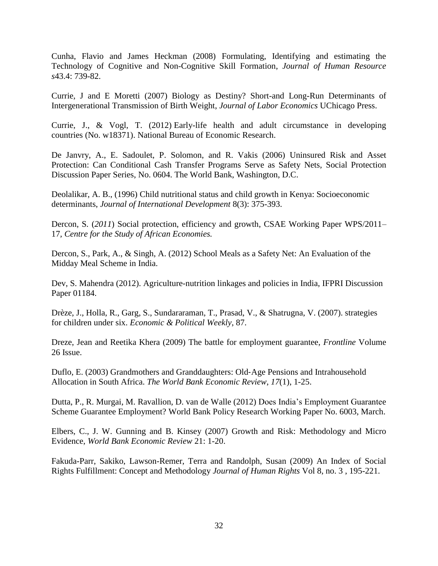<span id="page-31-0"></span>Cunha, Flavio and James Heckman (2008) Formulating, Identifying and estimating the Technology of Cognitive and Non-Cognitive Skill Formation, *Journal of Human Resource s*43.4: 739-82.

Currie, J and E Moretti (2007) Biology as Destiny? Short-and Long-Run Determinants of Intergenerational Transmission of Birth Weight, *Journal of Labor Economics* UChicago Press.

Currie, J., & Vogl, T. (2012) Early-life health and adult circumstance in developing countries (No. w18371). National Bureau of Economic Research.

<span id="page-31-3"></span>De Janvry, A., E. Sadoulet, P. Solomon, and R. Vakis (2006) Uninsured Risk and Asset Protection: Can Conditional Cash Transfer Programs Serve as Safety Nets, Social Protection Discussion Paper Series, No. 0604. The World Bank, Washington, D.C.

<span id="page-31-5"></span>Deolalikar, A. B., (1996) Child nutritional status and child growth in Kenya: Socioeconomic determinants, *Journal of International Development* 8(3): 375-393.

Dercon, S*.* (*2011*) Social protection, efficiency and growth, CSAE Working Paper WPS/2011– 17*, Centre for the Study of African Economies.*

Dercon, S., Park, A., & Singh, A. (2012) School Meals as a Safety Net: An Evaluation of the Midday Meal Scheme in India.

<span id="page-31-2"></span>Dev, S. Mahendra (2012). Agriculture-nutrition linkages and policies in India, IFPRI Discussion Paper 01184.

Drèze, J., Holla, R., Garg, S., Sundararaman, T., Prasad, V., & Shatrugna, V. (2007). strategies for children under six. *Economic & Political Weekly*, 87.

<span id="page-31-6"></span>Dreze, Jean and Reetika Khera (2009) The battle for employment guarantee, *Frontline* Volume 26 Issue.

<span id="page-31-4"></span>Duflo, E. (2003) Grandmothers and Granddaughters: Old‐Age Pensions and Intrahousehold Allocation in South Africa. *The World Bank Economic Review*, *17*(1), 1-25.

<span id="page-31-1"></span>Dutta, P., R. Murgai, M. Ravallion, D. van de Walle (2012) Does India's Employment Guarantee Scheme Guarantee Employment? World Bank Policy Research Working Paper No. 6003, March.

Elbers, C., J. W. Gunning and B. Kinsey (2007) Growth and Risk: Methodology and Micro Evidence, *World Bank Economic Review* 21: 1-20.

Fakuda-Parr, Sakiko, Lawson-Remer, Terra and Randolph, Susan (2009) An Index of Social Rights Fulfillment: Concept and Methodology *Journal of Human Rights* Vol 8, no. 3 , 195-221.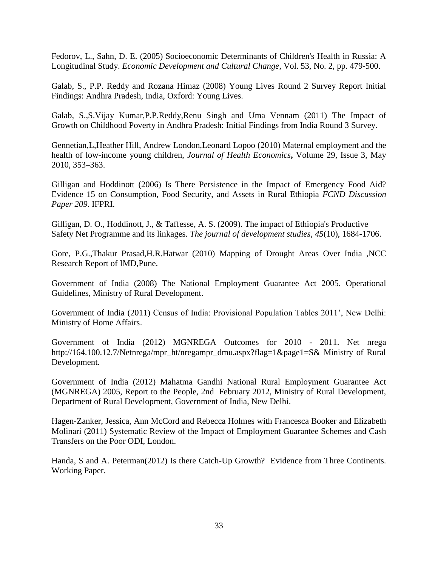<span id="page-32-2"></span>Fedorov, L., Sahn, D. E. (2005) Socioeconomic Determinants of Children's Health in Russia: A Longitudinal Study. *Economic Development and Cultural Change*, Vol. 53, No. 2, pp. 479-500.

Galab, S., P.P. Reddy and Rozana Himaz (2008) Young Lives Round 2 Survey Report Initial Findings: Andhra Pradesh, India, Oxford: Young Lives.

Galab, S.,S.Vijay Kumar,P.P.Reddy,Renu Singh and Uma Vennam (2011) The Impact of Growth on Childhood Poverty in Andhra Pradesh: Initial Findings from India Round 3 Survey.

Gennetian,L,Heather Hill, Andrew London,Leonard Lopoo (2010) Maternal employment and the health of low-income young children, *Journal of Health Economics***,** Volume 29, Issue 3, May 2010, 353–363.

Gilligan and Hoddinott (2006) Is There Persistence in the Impact of Emergency Food Aid? Evidence 15 on Consumption, Food Security, and Assets in Rural Ethiopia *FCND Discussion Paper 209*. IFPRI.

<span id="page-32-4"></span>Gilligan, D. O., Hoddinott, J., & Taffesse, A. S. (2009). The impact of Ethiopia's Productive Safety Net Programme and its linkages. *The journal of development studies*, *45*(10), 1684-1706.

<span id="page-32-0"></span>Gore, P.G.,Thakur Prasad,H.R.Hatwar (2010) Mapping of Drought Areas Over India ,NCC Research Report of IMD,Pune.

<span id="page-32-1"></span>Government of India (2008) The National Employment Guarantee Act 2005. Operational Guidelines, Ministry of Rural Development.

Government of India (2011) Census of India: Provisional Population Tables 2011', New Delhi: Ministry of Home Affairs.

<span id="page-32-3"></span>Government of India (2012) MGNREGA Outcomes for 2010 - 2011. Net nrega http://164.100.12.7/Netnrega/mpr\_ht/nregampr\_dmu.aspx?flag=1&page1=S& Ministry of Rural Development.

Government of India (2012) Mahatma Gandhi National Rural Employment Guarantee Act (MGNREGA) 2005, Report to the People, 2nd February 2012, Ministry of Rural Development, Department of Rural Development, Government of India, New Delhi.

<span id="page-32-5"></span>Hagen-Zanker, Jessica, Ann McCord and Rebecca Holmes with Francesca Booker and Elizabeth Molinari (2011) Systematic Review of the Impact of Employment Guarantee Schemes and Cash Transfers on the Poor ODI, London.

Handa, S and A. Peterman(2012) Is there Catch-Up Growth? Evidence from Three Continents. Working Paper.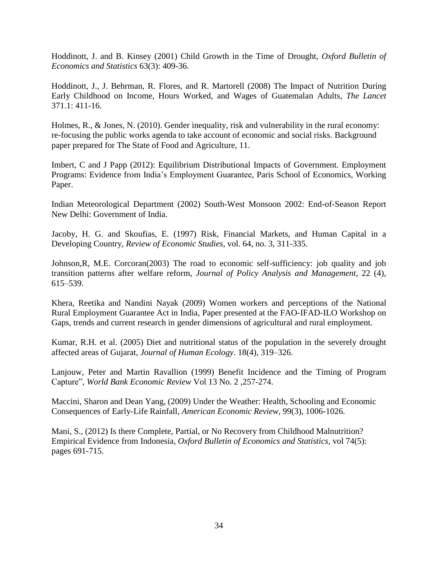<span id="page-33-0"></span>Hoddinott, J. and B. Kinsey (2001) Child Growth in the Time of Drought, *Oxford Bulletin of Economics and Statistics* 63(3): 409-36.

Hoddinott, J., J. Behrman, R. Flores, and R. Martorell (2008) The Impact of Nutrition During Early Childhood on Income, Hours Worked, and Wages of Guatemalan Adults, *The Lancet*  371.1: 411-16.

Holmes, R., & Jones, N. (2010). Gender inequality, risk and vulnerability in the rural economy: re-focusing the public works agenda to take account of economic and social risks. Background paper prepared for The State of Food and Agriculture, 11.

<span id="page-33-3"></span>Imbert, C and J Papp (2012): Equilibrium Distributional Impacts of Government. Employment Programs: Evidence from India's Employment Guarantee, Paris School of Economics, Working Paper.

<span id="page-33-5"></span>Indian Meteorological Department (2002) South-West Monsoon 2002: End-of-Season Report New Delhi: Government of India.

Jacoby, H. G. and Skoufias, E. (1997) Risk, Financial Markets, and Human Capital in a Developing Country, *Review of Economic Studies*, vol. 64, no. 3, 311-335.

Johnson,R, M.E. Corcoran(2003) The road to economic self-sufficiency: job quality and job transition patterns after welfare reform, *Journal of Policy Analysis and Management*, 22 (4), 615–539.

<span id="page-33-2"></span>Khera, Reetika and Nandini Nayak (2009) Women workers and perceptions of the National Rural Employment Guarantee Act in India, Paper presented at the FAO-IFAD-ILO Workshop on Gaps, trends and current research in gender dimensions of agricultural and rural employment.

Kumar, R.H. et al. (2005) Diet and nutritional status of the population in the severely drought affected areas of Gujarat, *Journal of Human Ecology*. 18(4), 319–326.

Lanjouw, Peter and Martin Ravallion (1999) Benefit Incidence and the Timing of Program Capture", *World Bank Economic Review* Vol 13 No. 2 ,257-274.

<span id="page-33-1"></span>Maccini, Sharon and Dean Yang, (2009) Under the Weather: Health, Schooling and Economic Consequences of Early-Life Rainfall, *American Economic Review*, 99(3), 1006-1026.

<span id="page-33-4"></span>Mani, S., (2012) Is there Complete, Partial, or No Recovery from Childhood Malnutrition? Empirical Evidence from Indonesia, *Oxford Bulletin of Economics and Statistics,* vol 74(5): pages 691-715.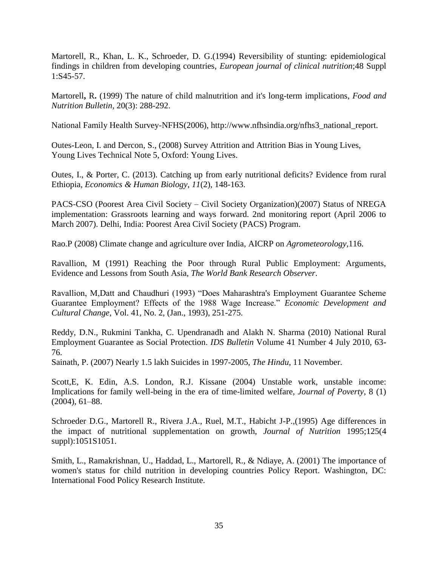Martorell, R., Khan, L. K., Schroeder, D. G.(1994) Reversibility of stunting: epidemiological findings in children from developing countries, *European journal of clinical nutrition*;48 Suppl 1:S45-57.

<span id="page-34-2"></span>Martorell**,** R**.** (1999) The nature of child malnutrition and it's long-term implications, *Food and Nutrition Bulletin*, 20(3): 288-292.

<span id="page-34-4"></span>National Family Health Survey-NFHS(2006), http://www.nfhsindia.org/nfhs3\_national\_report.

<span id="page-34-1"></span>Outes-Leon, I. and Dercon, S., (2008) Survey Attrition and Attrition Bias in Young Lives, Young Lives Technical Note 5, Oxford: Young Lives.

Outes, I., & Porter, C. (2013). Catching up from early nutritional deficits? Evidence from rural Ethiopia, *Economics & Human Biology*, *11*(2), 148-163.

<span id="page-34-0"></span>PACS-CSO (Poorest Area Civil Society – Civil Society Organization)(2007) Status of NREGA implementation: Grassroots learning and ways forward. 2nd monitoring report (April 2006 to March 2007). Delhi, India: Poorest Area Civil Society (PACS) Program.

Rao.P (2008) Climate change and agriculture over India, AICRP on *Agrometeorology,*116.

Ravallion, M (1991) Reaching the Poor through Rural Public Employment: Arguments, Evidence and Lessons from South Asia, *The World Bank Research Observer*.

Ravallion, M,Datt and Chaudhuri (1993) "Does Maharashtra's Employment Guarantee Scheme Guarantee Employment? Effects of the 1988 Wage Increase." *Economic Development and Cultural Change*, Vol. 41, No. 2, (Jan., 1993), 251-275.

Reddy, D.N., Rukmini Tankha, C. Upendranadh and Alakh N. Sharma (2010) National Rural Employment Guarantee as Social Protection. *IDS Bulletin* Volume 41 Number 4 July 2010, 63- 76.

Sainath, P. (2007) Nearly 1.5 lakh Suicides in 1997-2005, *The Hindu*, 11 November.

Scott,E, K. Edin, A.S. London, R.J. Kissane (2004) Unstable work, unstable income: Implications for family well-being in the era of time-limited welfare, *Journal of Poverty*, 8 (1) (2004), 61–88.

<span id="page-34-3"></span>Schroeder D.G., Martorell R., Rivera J.A., Ruel, M.T., Habicht J-P.,(1995) Age differences in the impact of nutritional supplementation on growth, *Journal of Nutrition* 1995;125(4 suppl):1051S1051.

Smith, L., Ramakrishnan, U., Haddad, L., Martorell, R., & Ndiaye, A. (2001) The importance of women's status for child nutrition in developing countries Policy Report. Washington, DC: International Food Policy Research Institute.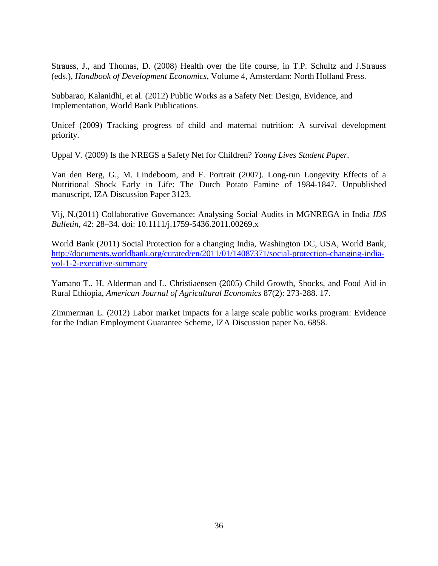Strauss, J., and Thomas, D. (2008) Health over the life course, in T.P. Schultz and J.Strauss (eds.), *Handbook of Development Economics*, Volume 4, Amsterdam: North Holland Press.

<span id="page-35-0"></span>Subbarao, Kalanidhi, et al. (2012) Public Works as a Safety Net: Design, Evidence, and Implementation, World Bank Publications.

<span id="page-35-1"></span>Unicef (2009) Tracking progress of child and maternal nutrition: A survival development priority.

<span id="page-35-4"></span>Uppal V. (2009) Is the NREGS a Safety Net for Children? *Young Lives Student Paper.* 

<span id="page-35-3"></span>Van den Berg, G., M. Lindeboom, and F. Portrait (2007). Long-run Longevity Effects of a Nutritional Shock Early in Life: The Dutch Potato Famine of 1984-1847. Unpublished manuscript, IZA Discussion Paper 3123.

Vij, N.(2011) Collaborative Governance: Analysing Social Audits in MGNREGA in India *IDS Bulletin*, 42: 28–34. doi: 10.1111/j.1759-5436.2011.00269.x

<span id="page-35-2"></span>World Bank (2011) Social Protection for a changing India, Washington DC, USA, World Bank, [http://documents.worldbank.org/curated/en/2011/01/14087371/social-protection-changing-india](http://documents.worldbank.org/curated/en/2011/01/14087371/social-protection-changing-india-vol-1-2-executive-summary)[vol-1-2-executive-summary](http://documents.worldbank.org/curated/en/2011/01/14087371/social-protection-changing-india-vol-1-2-executive-summary)

<span id="page-35-6"></span>Yamano T., H. Alderman and L. Christiaensen (2005) Child Growth, Shocks, and Food Aid in Rural Ethiopia, *American Journal of Agricultural Economics* 87(2): 273-288. 17.

<span id="page-35-5"></span>Zimmerman L. (2012) Labor market impacts for a large scale public works program: Evidence for the Indian Employment Guarantee Scheme, IZA Discussion paper No. 6858.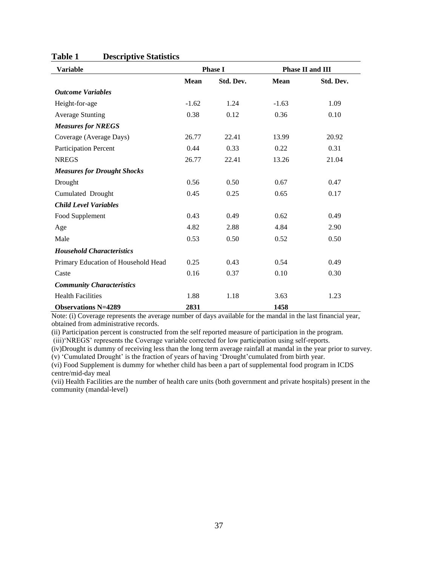<span id="page-36-0"></span>

| <b>Variable</b>                     |             | <b>Phase I</b> |             | Phase II and III |
|-------------------------------------|-------------|----------------|-------------|------------------|
|                                     | <b>Mean</b> | Std. Dev.      | <b>Mean</b> | Std. Dev.        |
| <b>Outcome Variables</b>            |             |                |             |                  |
| Height-for-age                      | $-1.62$     | 1.24           | $-1.63$     | 1.09             |
| <b>Average Stunting</b>             | 0.38        | 0.12           | 0.36        | 0.10             |
| <b>Measures for NREGS</b>           |             |                |             |                  |
| Coverage (Average Days)             | 26.77       | 22.41          | 13.99       | 20.92            |
| Participation Percent               | 0.44        | 0.33           | 0.22        | 0.31             |
| <b>NREGS</b>                        | 26.77       | 22.41          | 13.26       | 21.04            |
| <b>Measures for Drought Shocks</b>  |             |                |             |                  |
| Drought                             | 0.56        | 0.50           | 0.67        | 0.47             |
| Cumulated Drought                   | 0.45        | 0.25           | 0.65        | 0.17             |
| <b>Child Level Variables</b>        |             |                |             |                  |
| Food Supplement                     | 0.43        | 0.49           | 0.62        | 0.49             |
| Age                                 | 4.82        | 2.88           | 4.84        | 2.90             |
| Male                                | 0.53        | 0.50           | 0.52        | 0.50             |
| <b>Household Characteristics</b>    |             |                |             |                  |
| Primary Education of Household Head | 0.25        | 0.43           | 0.54        | 0.49             |
| Caste                               | 0.16        | 0.37           | 0.10        | 0.30             |
| <b>Community Characteristics</b>    |             |                |             |                  |
| <b>Health Facilities</b>            | 1.88        | 1.18           | 3.63        | 1.23             |
| <b>Observations N=4289</b>          | 2831        |                | 1458        |                  |

### **Table 1 Descriptive Statistics**

Note: (i) Coverage represents the average number of days available for the mandal in the last financial year, obtained from administrative records.

(ii) Participation percent is constructed from the self reported measure of participation in the program.

(iii)'NREGS' represents the Coverage variable corrected for low participation using self-reports.

(iv)Drought is dummy of receiving less than the long term average rainfall at mandal in the year prior to survey. (v) 'Cumulated Drought' is the fraction of years of having 'Drought'cumulated from birth year.

(vi) Food Supplement is dummy for whether child has been a part of supplemental food program in ICDS centre/mid-day meal

(vii) Health Facilities are the number of health care units (both government and private hospitals) present in the community (mandal-level)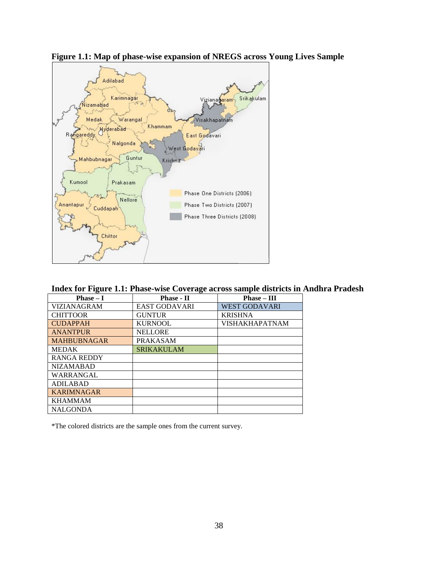

**Figure 1.1: Map of phase-wise expansion of NREGS across Young Lives Sample**

|  | Index for Figure 1.1: Phase-wise Coverage across sample districts in Andhra Pradesh |  |
|--|-------------------------------------------------------------------------------------|--|
|  |                                                                                     |  |

| $Phase-I$          | <b>Phase - II</b>    | $Phase - III$        |
|--------------------|----------------------|----------------------|
| VIZIANAGRAM        | <b>EAST GODAVARI</b> | <b>WEST GODAVARI</b> |
| <b>CHITTOOR</b>    | <b>GUNTUR</b>        | <b>KRISHNA</b>       |
| <b>CUDAPPAH</b>    | <b>KURNOOL</b>       | VISHAKHAPATNAM       |
| <b>ANANTPUR</b>    | <b>NELLORE</b>       |                      |
| <b>MAHBUBNAGAR</b> | <b>PRAKASAM</b>      |                      |
| <b>MEDAK</b>       | <b>SRIKAKULAM</b>    |                      |
| <b>RANGA REDDY</b> |                      |                      |
| <b>NIZAMABAD</b>   |                      |                      |
| WARRANGAL          |                      |                      |
| <b>ADILABAD</b>    |                      |                      |
| <b>KARIMNAGAR</b>  |                      |                      |
| <b>KHAMMAM</b>     |                      |                      |
| <b>NALGONDA</b>    |                      |                      |

\*The colored districts are the sample ones from the current survey.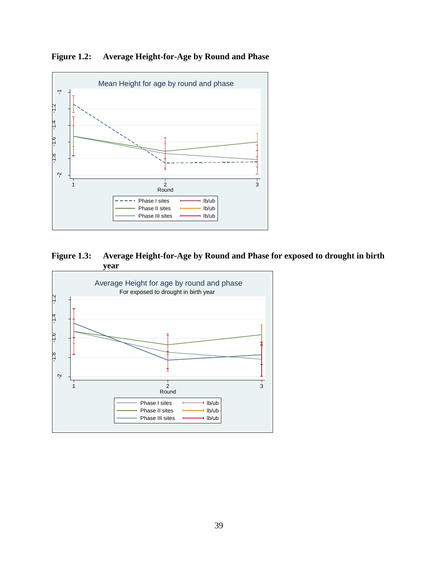<span id="page-38-0"></span>**Figure 1.2: Average Height-for-Age by Round and Phase**



<span id="page-38-1"></span>**Figure 1.3: Average Height-for-Age by Round and Phase for exposed to drought in birth year**

<span id="page-38-2"></span>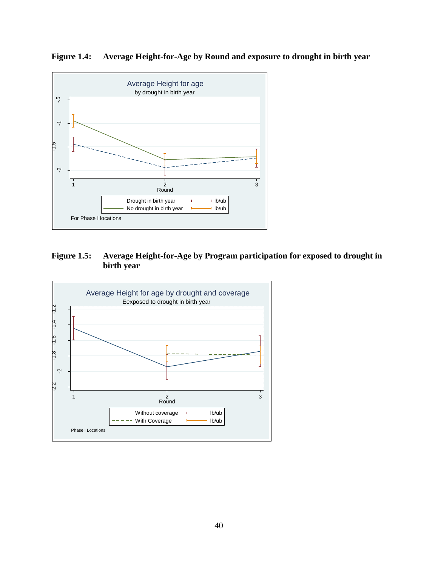**Figure 1.4: Average Height-for-Age by Round and exposure to drought in birth year**



<span id="page-39-0"></span>**Figure 1.5: Average Height-for-Age by Program participation for exposed to drought in birth year** 

<span id="page-39-1"></span>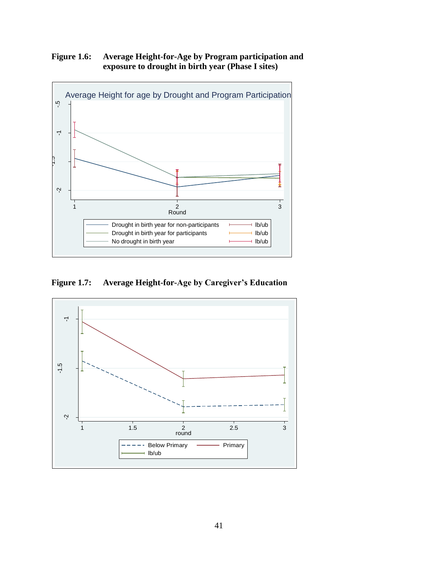# **Figure 1.6: Average Height-for-Age by Program participation and exposure to drought in birth year (Phase I sites)**



<span id="page-40-0"></span>**Figure 1.7: Average Height-for-Age by Caregiver's Education**

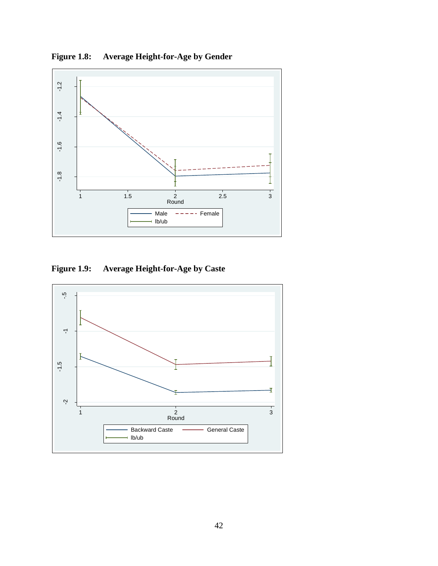<span id="page-41-0"></span>**Figure 1.8: Average Height-for-Age by Gender**



<span id="page-41-1"></span>**Figure 1.9: Average Height-for-Age by Caste** 

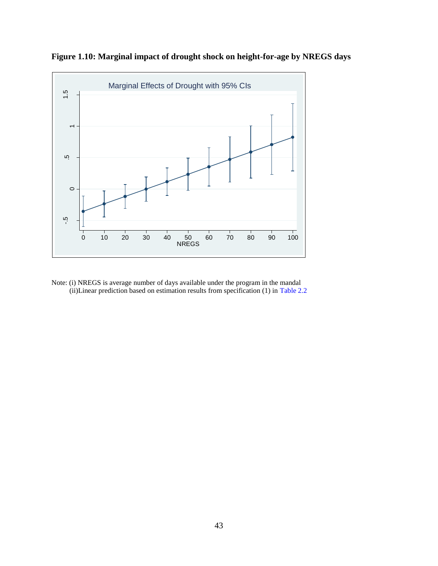

<span id="page-42-0"></span>**Figure 1.10: Marginal impact of drought shock on height-for-age by NREGS days**

Note: (i) NREGS is average number of days available under the program in the mandal (ii)Linear prediction based on estimation results from specification (1) in [Table 2.2](#page-44-0)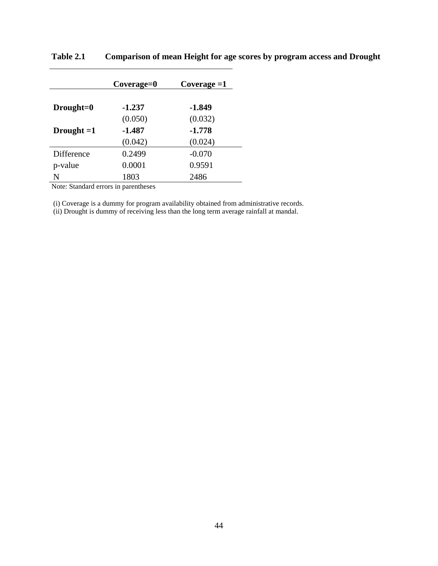|               | Coverage=0 | Coverage $=1$ |
|---------------|------------|---------------|
| $Drought = 0$ | $-1.237$   | $-1.849$      |
|               | (0.050)    | (0.032)       |
| Drought $=1$  | $-1.487$   | $-1.778$      |
|               | (0.042)    | (0.024)       |
| Difference    | 0.2499     | $-0.070$      |
| p-value       | 0.0001     | 0.9591        |
| N             | 1803       | 2486          |

<span id="page-43-0"></span>**Table 2.1 Comparison of mean Height for age scores by program access and Drought**

Note: Standard errors in parentheses

(i) Coverage is a dummy for program availability obtained from administrative records.

(ii) Drought is dummy of receiving less than the long term average rainfall at mandal.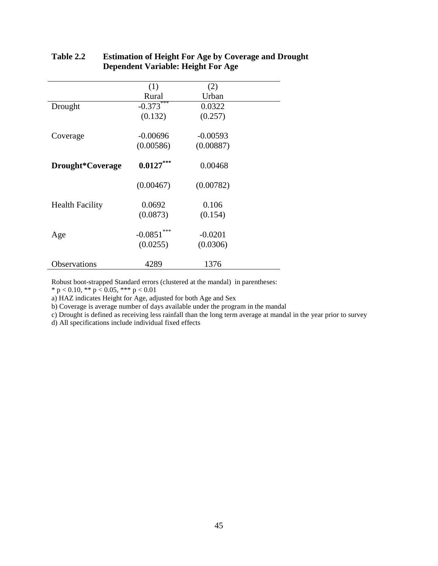|                        | (1)         | (2)        |  |
|------------------------|-------------|------------|--|
|                        | Rural       | Urban      |  |
| Drought                | $-0.373***$ | 0.0322     |  |
|                        | (0.132)     | (0.257)    |  |
| Coverage               | $-0.00696$  | $-0.00593$ |  |
|                        | (0.00586)   | (0.00887)  |  |
| Drought*Coverage       | $0.0127***$ | 0.00468    |  |
|                        | (0.00467)   | (0.00782)  |  |
| <b>Health Facility</b> | 0.0692      | 0.106      |  |
|                        | (0.0873)    | (0.154)    |  |
| Age                    | $-0.0851$   | $-0.0201$  |  |
|                        | (0.0255)    | (0.0306)   |  |
| Observations           | 4289        | 1376       |  |

## <span id="page-44-0"></span>**Table 2.2 Estimation of Height For Age by Coverage and Drought Dependent Variable: Height For Age**

Robust boot-strapped Standard errors (clustered at the mandal) in parentheses:

 $*$  p < 0.10,  $*$  p < 0.05,  $**$  p < 0.01

a) HAZ indicates Height for Age, adjusted for both Age and Sex

b) Coverage is average number of days available under the program in the mandal

c) Drought is defined as receiving less rainfall than the long term average at mandal in the year prior to survey

d) All specifications include individual fixed effects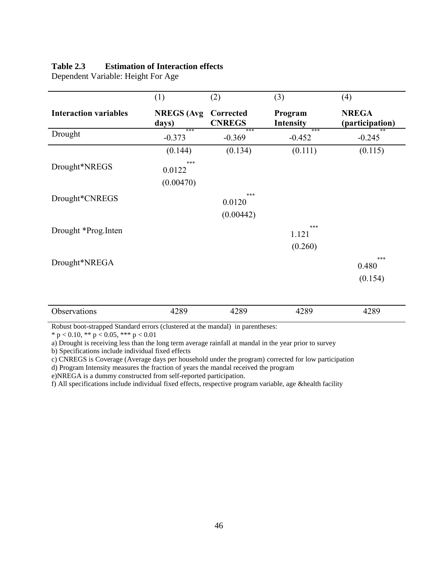### <span id="page-45-0"></span>**Table 2.3 Estimation of Interaction effects**

Dependent Variable: Height For Age

|                              | (1)                        | (2)                        | (3)                         | (4)                             |
|------------------------------|----------------------------|----------------------------|-----------------------------|---------------------------------|
| <b>Interaction variables</b> | <b>NREGS</b> (Avg<br>days) | Corrected<br><b>CNREGS</b> | Program<br><b>Intensity</b> | <b>NREGA</b><br>(participation) |
| Drought                      | ***<br>$-0.373$            | ***<br>$-0.369$            | ***<br>$-0.452$             | $-0.245$                        |
|                              | (0.144)                    | (0.134)                    | (0.111)                     | (0.115)                         |
| Drought*NREGS                | ***<br>0.0122<br>(0.00470) |                            |                             |                                 |
| Drought*CNREGS               |                            | ***<br>0.0120              |                             |                                 |
|                              |                            | (0.00442)                  |                             |                                 |
| Drought *Prog.Inten          |                            |                            | ***<br>1.121                |                                 |
|                              |                            |                            | (0.260)                     |                                 |
| Drought*NREGA                |                            |                            |                             | ***<br>0.480<br>(0.154)         |
|                              |                            |                            |                             |                                 |
| Observations                 | 4289                       | 4289                       | 4289                        | 4289                            |

Robust boot-strapped Standard errors (clustered at the mandal) in parentheses:

\* p < 0.10, \*\* p < 0.05, \*\*\* p < 0.01

a) Drought is receiving less than the long term average rainfall at mandal in the year prior to survey

b) Specifications include individual fixed effects

c) CNREGS is Coverage (Average days per household under the program) corrected for low participation

d) Program Intensity measures the fraction of years the mandal received the program

e)NREGA is a dummy constructed from self-reported participation.

f) All specifications include individual fixed effects, respective program variable, age &health facility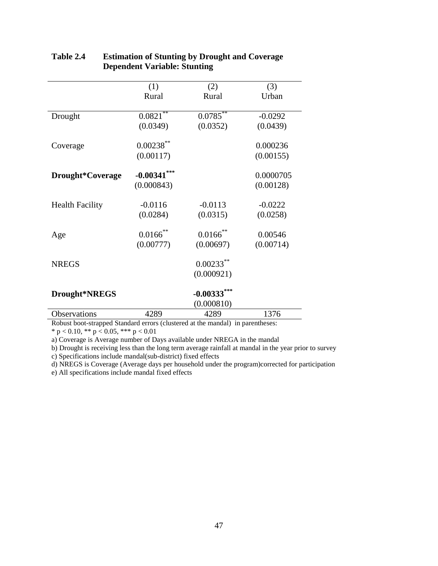|                             | (1)            | (2)                         | (3)       |
|-----------------------------|----------------|-----------------------------|-----------|
|                             | Rural          | Rural                       | Urban     |
|                             |                |                             |           |
| Drought                     | $0.0821$ **    | 0.0785                      | $-0.0292$ |
|                             | (0.0349)       | (0.0352)                    | (0.0439)  |
| Coverage                    | $0.00238$ **   |                             | 0.000236  |
|                             | (0.00117)      |                             | (0.00155) |
| Drought*Coverage            | $-0.00341$ *** |                             | 0.0000705 |
|                             |                |                             |           |
|                             | (0.000843)     |                             | (0.00128) |
| <b>Health Facility</b>      | $-0.0116$      | $-0.0113$                   | $-0.0222$ |
|                             | (0.0284)       | (0.0315)                    | (0.0258)  |
| Age                         | $0.0166$ **    | $0.0166$ **                 | 0.00546   |
|                             | (0.00777)      | (0.00697)                   | (0.00714) |
| <b>NREGS</b>                |                | $0.00233***$                |           |
|                             |                | (0.000921)                  |           |
|                             |                |                             |           |
| Drought*NREGS               |                | $-0.00333$ ***              |           |
|                             |                | (0.000810)                  |           |
| <b>Observations</b><br>1.01 | 4289           | 4289<br>1.11<br>$\sim$ $-1$ | 1376      |

## <span id="page-46-0"></span>**Table 2.4 Estimation of Stunting by Drought and Coverage Dependent Variable: Stunting**

Robust boot-strapped Standard errors (clustered at the mandal) in parentheses:

 $*$  p < 0.10,  $**$  p < 0.05,  $***$  p < 0.01

a) Coverage is Average number of Days available under NREGA in the mandal

b) Drought is receiving less than the long term average rainfall at mandal in the year prior to survey c) Specifications include mandal(sub-district) fixed effects

d) NREGS is Coverage (Average days per household under the program)corrected for participation

e) All specifications include mandal fixed effects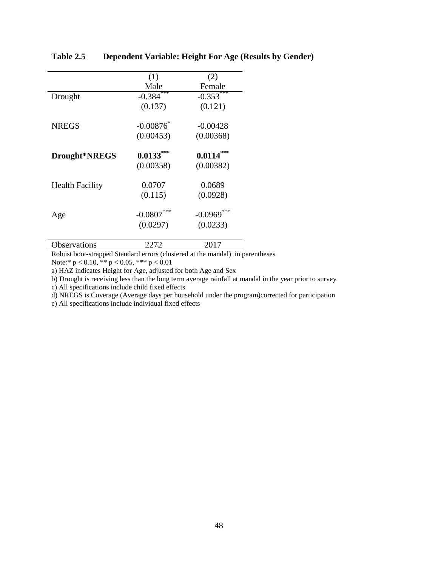|                        | (1)          | (2)              |
|------------------------|--------------|------------------|
|                        | Male         | Female           |
| Drought                | $-0.384$     | $-0.353***$      |
|                        | (0.137)      | (0.121)          |
| <b>NREGS</b>           | $-0.00876$   | $-0.00428$       |
|                        | (0.00453)    | (0.00368)        |
| Drought*NREGS          | $0.0133***$  | $0.0114***$      |
|                        | (0.00358)    | (0.00382)        |
| <b>Health Facility</b> | 0.0707       | 0.0689           |
|                        | (0.115)      | (0.0928)         |
| Age                    | $-0.0807***$ | ***<br>$-0.0969$ |
|                        | (0.0297)     | (0.0233)         |
|                        |              |                  |

### <span id="page-47-0"></span>**Table 2.5 Dependent Variable: Height For Age (Results by Gender)**

Observations 2272 2017 Robust boot-strapped Standard errors (clustered at the mandal) in parentheses

Note:\* p < 0.10, \*\* p < 0.05, \*\*\* p < 0.01

a) HAZ indicates Height for Age, adjusted for both Age and Sex

b) Drought is receiving less than the long term average rainfall at mandal in the year prior to survey

c) All specifications include child fixed effects

d) NREGS is Coverage (Average days per household under the program)corrected for participation

e) All specifications include individual fixed effects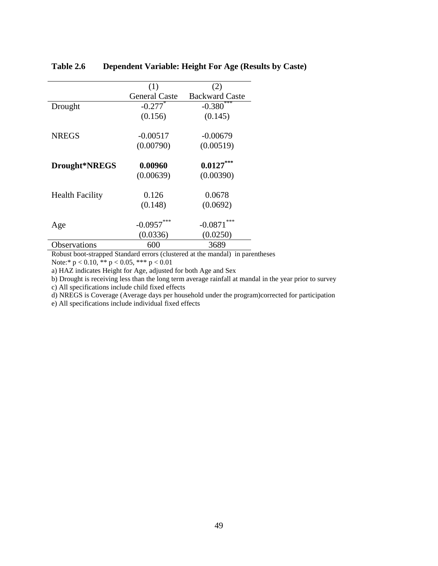|                        | (1)                   | (2)                   |
|------------------------|-----------------------|-----------------------|
|                        | <b>General Caste</b>  | <b>Backward Caste</b> |
| Drought                | $-0.277$ <sup>*</sup> | $-0.380$              |
|                        | (0.156)               | (0.145)               |
|                        |                       |                       |
| <b>NREGS</b>           | $-0.00517$            | $-0.00679$            |
|                        | (0.00790)             | (0.00519)             |
| Drought*NREGS          | 0.00960               | $0.0127***$           |
|                        | (0.00639)             | (0.00390)             |
|                        |                       |                       |
| <b>Health Facility</b> | 0.126                 | 0.0678                |
|                        | (0.148)               | (0.0692)              |
|                        |                       | ***                   |
| Age                    | $-0.0957$             | $-0.0871$             |
|                        | (0.0336)              | (0.0250)              |
| Observations           | 600                   | 3689                  |

### <span id="page-48-0"></span>**Table 2.6 Dependent Variable: Height For Age (Results by Caste)**

Robust boot-strapped Standard errors (clustered at the mandal) in parentheses Note:\* p < 0.10, \*\* p < 0.05, \*\*\* p < 0.01

a) HAZ indicates Height for Age, adjusted for both Age and Sex

b) Drought is receiving less than the long term average rainfall at mandal in the year prior to survey

c) All specifications include child fixed effects

d) NREGS is Coverage (Average days per household under the program)corrected for participation

e) All specifications include individual fixed effects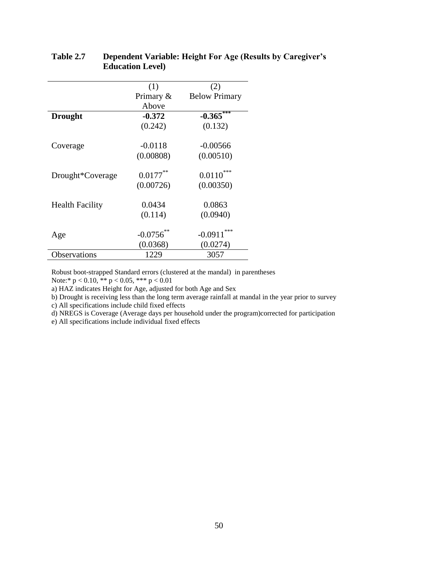|                        | (1)         | (2)                  |
|------------------------|-------------|----------------------|
|                        | Primary &   | <b>Below Primary</b> |
|                        | Above       |                      |
| <b>Drought</b>         | $-0.372$    | $-0.365***$          |
|                        | (0.242)     | (0.132)              |
| Coverage               | $-0.0118$   | $-0.00566$           |
|                        | (0.00808)   | (0.00510)            |
| Drought*Coverage       | $0.0177***$ | $0.0110***$          |
|                        | (0.00726)   | (0.00350)            |
| <b>Health Facility</b> | 0.0434      | 0.0863               |
|                        | (0.114)     | (0.0940)             |
| Age                    | $-0.0756$   | ***<br>$-0.0911$     |
|                        | (0.0368)    | (0.0274)             |
| Observations           | 1229        | 3057                 |

### <span id="page-49-0"></span>**Table 2.7 Dependent Variable: Height For Age (Results by Caregiver's Education Level)**

Robust boot-strapped Standard errors (clustered at the mandal) in parentheses

Note:\*  $p < 0.10$ , \*\*  $p < 0.05$ , \*\*\*  $p < 0.01$ 

a) HAZ indicates Height for Age, adjusted for both Age and Sex

b) Drought is receiving less than the long term average rainfall at mandal in the year prior to survey

c) All specifications include child fixed effects

d) NREGS is Coverage (Average days per household under the program)corrected for participation

e) All specifications include individual fixed effects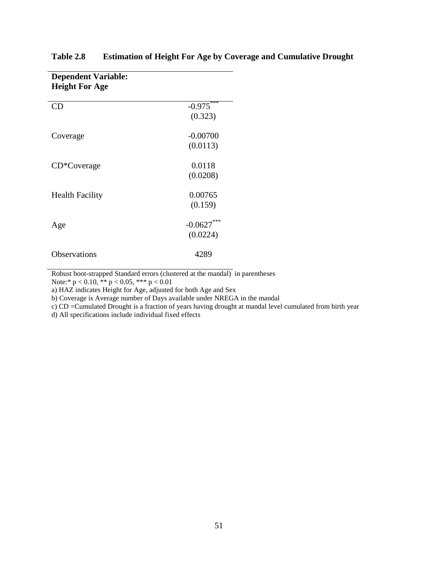| <b>Height For Age</b>  |              |
|------------------------|--------------|
| <b>CD</b>              | $-0.975***$  |
|                        | (0.323)      |
| Coverage               | $-0.00700$   |
|                        | (0.0113)     |
| CD*Coverage            | 0.0118       |
|                        | (0.0208)     |
| <b>Health Facility</b> | 0.00765      |
|                        | (0.159)      |
| Age                    | $-0.0627***$ |
|                        | (0.0224)     |
| Observations           | 4289         |

# <span id="page-50-0"></span>**Table 2.8 Estimation of Height For Age by Coverage and Cumulative Drought**

Robust boot-strapped Standard errors (clustered at the mandal) in parentheses

Note:\*  $p < 0.10$ , \*\*  $p < 0.05$ , \*\*\*  $p < 0.01$ 

**Dependent Variable:** 

a) HAZ indicates Height for Age, adjusted for both Age and Sex

b) Coverage is Average number of Days available under NREGA in the mandal

c) CD =Cumulated Drought is a fraction of years having drought at mandal level cumulated from birth year

d) All specifications include individual fixed effects